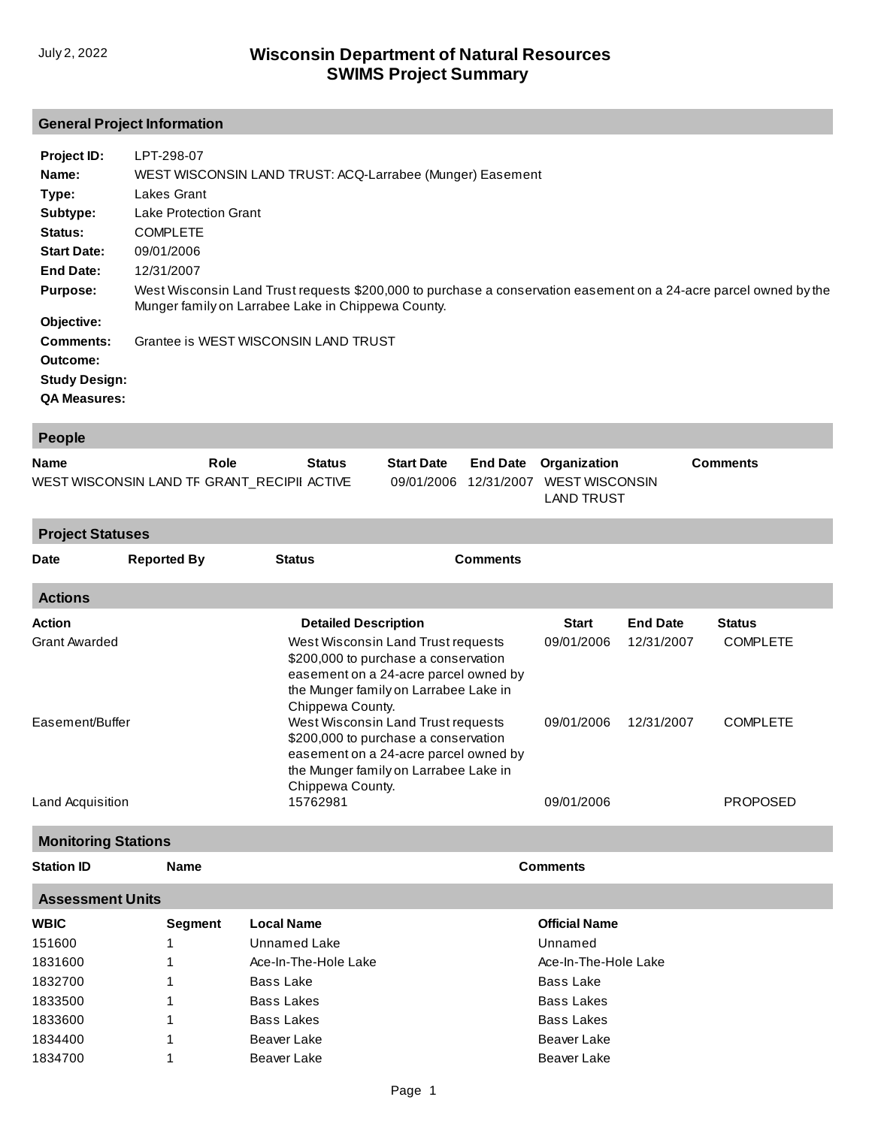1834700

1

Beaver Lake

### **General Project Information**

| Project ID:          | LPT-298-07                                                                                                                                                              |
|----------------------|-------------------------------------------------------------------------------------------------------------------------------------------------------------------------|
| Name:                | WEST WISCONSIN LAND TRUST: ACQ-Larrabee (Munger) Easement                                                                                                               |
| Type:                | Lakes Grant                                                                                                                                                             |
| Subtype:             | <b>Lake Protection Grant</b>                                                                                                                                            |
| <b>Status:</b>       | <b>COMPLETE</b>                                                                                                                                                         |
| <b>Start Date:</b>   | 09/01/2006                                                                                                                                                              |
| End Date:            | 12/31/2007                                                                                                                                                              |
| <b>Purpose:</b>      | West Wisconsin Land Trust requests \$200,000 to purchase a conservation easement on a 24-acre parcel owned by the<br>Munger family on Larrabee Lake in Chippewa County. |
| Objective:           |                                                                                                                                                                         |
| Comments:            | Grantee is WEST WISCONSIN LAND TRUST                                                                                                                                    |
| Outcome:             |                                                                                                                                                                         |
| <b>Study Design:</b> |                                                                                                                                                                         |
| <b>QA Measures:</b>  |                                                                                                                                                                         |

| People                                      |                            |                             |                                                                                                                                                                                  |                 |                                            |                 |                 |
|---------------------------------------------|----------------------------|-----------------------------|----------------------------------------------------------------------------------------------------------------------------------------------------------------------------------|-----------------|--------------------------------------------|-----------------|-----------------|
| <b>Name</b>                                 |                            | Role<br><b>Status</b>       | <b>Start Date</b>                                                                                                                                                                | <b>End Date</b> | Organization                               |                 | <b>Comments</b> |
| WEST WISCONSIN LAND TF GRANT_RECIPII ACTIVE |                            |                             | 09/01/2006                                                                                                                                                                       | 12/31/2007      | <b>WEST WISCONSIN</b><br><b>LAND TRUST</b> |                 |                 |
| <b>Project Statuses</b>                     |                            |                             |                                                                                                                                                                                  |                 |                                            |                 |                 |
| <b>Date</b>                                 | <b>Reported By</b>         | <b>Status</b>               |                                                                                                                                                                                  | <b>Comments</b> |                                            |                 |                 |
| <b>Actions</b>                              |                            |                             |                                                                                                                                                                                  |                 |                                            |                 |                 |
| <b>Action</b>                               |                            | <b>Detailed Description</b> |                                                                                                                                                                                  |                 | <b>Start</b>                               | <b>End Date</b> | <b>Status</b>   |
| <b>Grant Awarded</b>                        |                            | Chippewa County.            | West Wisconsin Land Trust requests<br>\$200,000 to purchase a conservation<br>easement on a 24-acre parcel owned by<br>the Munger family on Larrabee Lake in                     |                 | 09/01/2006                                 | 12/31/2007      | <b>COMPLETE</b> |
| Easement/Buffer                             |                            |                             | West Wisconsin Land Trust requests<br>\$200,000 to purchase a conservation<br>easement on a 24-acre parcel owned by<br>the Munger family on Larrabee Lake in<br>Chippewa County. |                 | 09/01/2006                                 | 12/31/2007      | <b>COMPLETE</b> |
| Land Acquisition                            |                            | 15762981                    |                                                                                                                                                                                  |                 | 09/01/2006                                 |                 | <b>PROPOSED</b> |
|                                             | <b>Monitoring Stations</b> |                             |                                                                                                                                                                                  |                 |                                            |                 |                 |
| <b>Station ID</b>                           | <b>Name</b>                |                             |                                                                                                                                                                                  |                 | <b>Comments</b>                            |                 |                 |
|                                             | <b>Assessment Units</b>    |                             |                                                                                                                                                                                  |                 |                                            |                 |                 |
| <b>WBIC</b>                                 | <b>Segment</b>             | <b>Local Name</b>           |                                                                                                                                                                                  |                 | <b>Official Name</b>                       |                 |                 |
| 151600                                      | 1                          | <b>Unnamed Lake</b>         |                                                                                                                                                                                  |                 | Unnamed                                    |                 |                 |
| 1831600                                     | 1                          | Ace-In-The-Hole Lake        |                                                                                                                                                                                  |                 | Ace-In-The-Hole Lake                       |                 |                 |
| 1832700                                     | 1                          | <b>Bass Lake</b>            |                                                                                                                                                                                  |                 | <b>Bass Lake</b>                           |                 |                 |
| 1833500                                     | 1                          | <b>Bass Lakes</b>           |                                                                                                                                                                                  |                 | <b>Bass Lakes</b>                          |                 |                 |
| 1833600                                     | 1                          | <b>Bass Lakes</b>           |                                                                                                                                                                                  |                 | <b>Bass Lakes</b>                          |                 |                 |
| 1834400                                     | 1                          | Beaver Lake                 |                                                                                                                                                                                  |                 | <b>Beaver Lake</b>                         |                 |                 |

[Beaver Lake](http://prodoasint.dnr.wi.gov/wadrs/viewUnit.do?id=426616)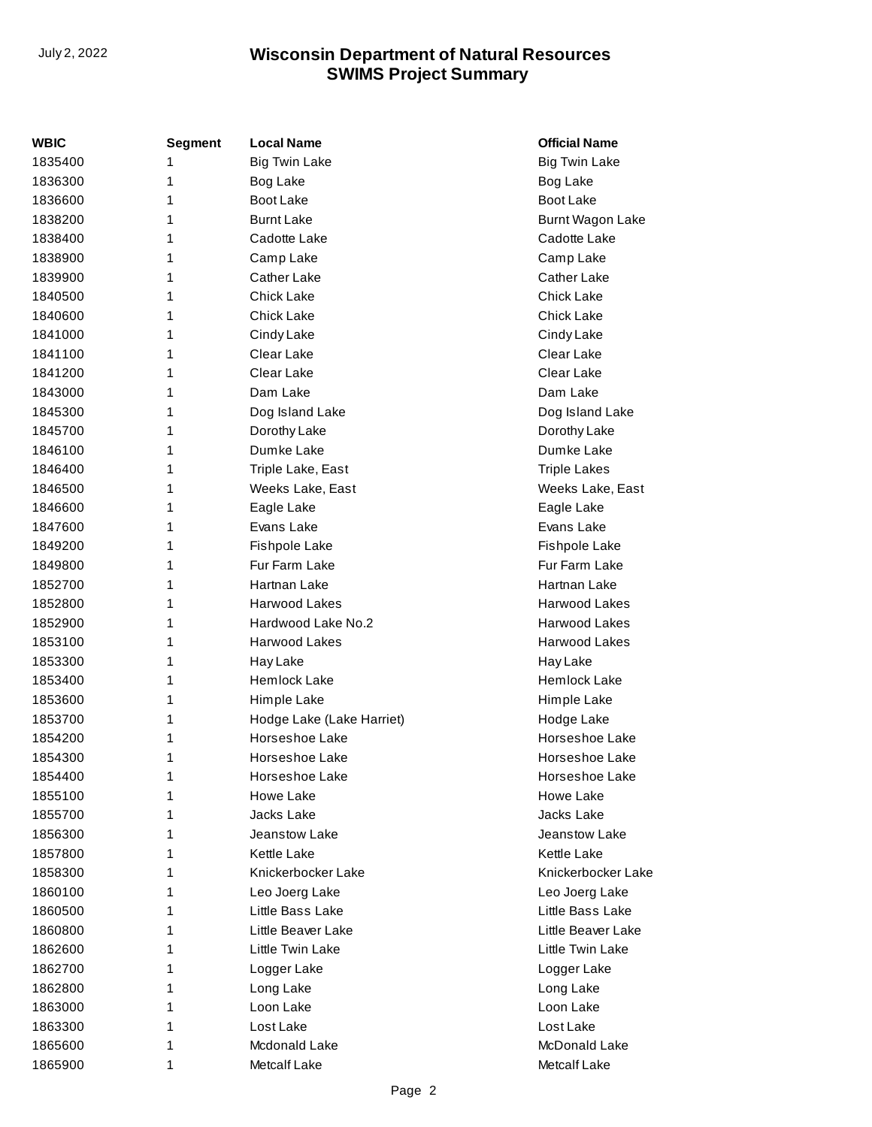| WBIC    | <b>Segment</b> | <b>Local Name</b>         | <b>Official Name</b> |
|---------|----------------|---------------------------|----------------------|
| 1835400 | 1              | <b>Big Twin Lake</b>      | <b>Big Twin Lake</b> |
| 1836300 | 1              | Bog Lake                  | Bog Lake             |
| 1836600 | 1              | <b>Boot Lake</b>          | Boot Lake            |
| 1838200 | 1              | <b>Burnt Lake</b>         | Burnt Wagon Lake     |
| 1838400 | 1              | Cadotte Lake              | Cadotte Lake         |
| 1838900 | 1              | Camp Lake                 | Camp Lake            |
| 1839900 | 1              | <b>Cather Lake</b>        | Cather Lake          |
| 1840500 | 1              | <b>Chick Lake</b>         | Chick Lake           |
| 1840600 | 1              | <b>Chick Lake</b>         | <b>Chick Lake</b>    |
| 1841000 | 1              | Cindy Lake                | Cindy Lake           |
| 1841100 | 1              | Clear Lake                | Clear Lake           |
| 1841200 | 1              | Clear Lake                | Clear Lake           |
| 1843000 | 1              | Dam Lake                  | Dam Lake             |
| 1845300 | 1              | Dog Island Lake           | Dog Island Lake      |
| 1845700 | 1              | Dorothy Lake              | Dorothy Lake         |
| 1846100 | 1              | Dumke Lake                | Dumke Lake           |
| 1846400 | 1              | Triple Lake, East         | <b>Triple Lakes</b>  |
| 1846500 | 1              | Weeks Lake, East          | Weeks Lake, East     |
| 1846600 | 1              | Eagle Lake                | Eagle Lake           |
| 1847600 | 1              | Evans Lake                | Evans Lake           |
| 1849200 | 1              | Fishpole Lake             | Fishpole Lake        |
| 1849800 | 1              | Fur Farm Lake             | Fur Farm Lake        |
| 1852700 | 1              | Hartnan Lake              | Hartnan Lake         |
| 1852800 | 1              | Harwood Lakes             | <b>Harwood Lakes</b> |
| 1852900 | 1              | Hardwood Lake No.2        | Harwood Lakes        |
| 1853100 | 1              | Harwood Lakes             | Harwood Lakes        |
| 1853300 | 1              | Hay Lake                  | Hay Lake             |
| 1853400 | 1              | Hemlock Lake              | Hemlock Lake         |
| 1853600 | 1              | Himple Lake               | Himple Lake          |
| 1853700 | 1              | Hodge Lake (Lake Harriet) | Hodge Lake           |
| 1854200 | 1              | Horseshoe Lake            | Horseshoe Lake       |
| 1854300 | 1              | Horseshoe Lake            | Horseshoe Lake       |
| 1854400 | 1              | Horseshoe Lake            | Horseshoe Lake       |
| 1855100 | 1              | Howe Lake                 | Howe Lake            |
| 1855700 | 1              | Jacks Lake                | Jacks Lake           |
| 1856300 | 1              | Jeanstow Lake             | Jeanstow Lake        |
| 1857800 | 1              | <b>Kettle Lake</b>        | <b>Kettle Lake</b>   |
| 1858300 | 1              | Knickerbocker Lake        | Knickerbocker Lake   |
| 1860100 | 1              | Leo Joerg Lake            | Leo Joerg Lake       |
| 1860500 | 1              | Little Bass Lake          | Little Bass Lake     |
| 1860800 | 1              | Little Beaver Lake        | Little Beaver Lake   |
| 1862600 | 1              | Little Twin Lake          | Little Twin Lake     |
| 1862700 | 1              | Logger Lake               | Logger Lake          |
| 1862800 | 1              | Long Lake                 | Long Lake            |
| 1863000 | 1              | Loon Lake                 | Loon Lake            |
| 1863300 | 1              | Lost Lake                 | Lost Lake            |
| 1865600 | 1              | Mcdonald Lake             | McDonald Lake        |
| 1865900 | 1              | Metcalf Lake              | Metcalf Lake         |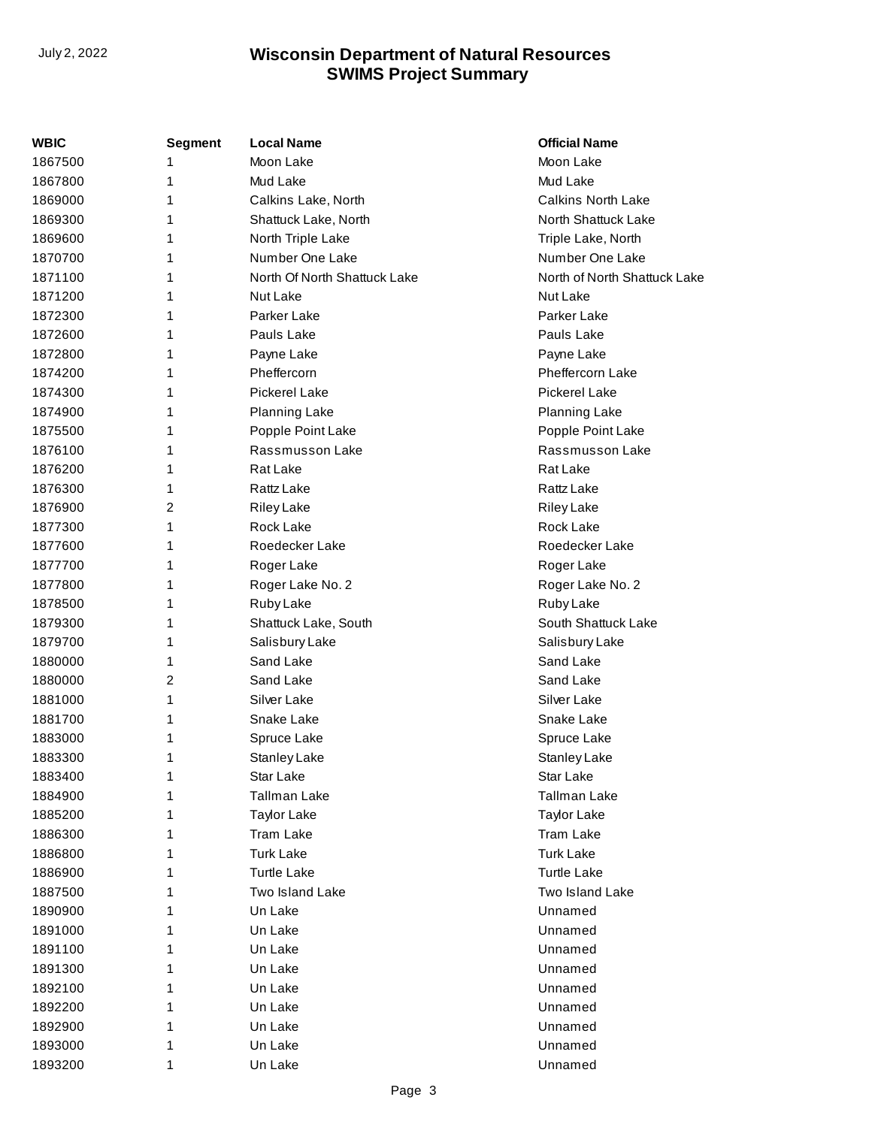| <b>WBIC</b> | <b>Segment</b> | <b>Local Name</b>            | <b>Official Name</b>         |
|-------------|----------------|------------------------------|------------------------------|
| 1867500     | 1              | Moon Lake                    | Moon Lake                    |
| 1867800     | 1              | Mud Lake                     | Mud Lake                     |
| 1869000     | 1              | Calkins Lake, North          | <b>Calkins North Lake</b>    |
| 1869300     | 1              | Shattuck Lake, North         | North Shattuck Lake          |
| 1869600     | 1              | North Triple Lake            | Triple Lake, North           |
| 1870700     | 1              | Number One Lake              | Number One Lake              |
| 1871100     | 1              | North Of North Shattuck Lake | North of North Shattuck Lake |
| 1871200     | 1              | Nut Lake                     | Nut Lake                     |
| 1872300     | 1              | Parker Lake                  | Parker Lake                  |
| 1872600     | 1              | Pauls Lake                   | Pauls Lake                   |
| 1872800     | 1              | Payne Lake                   | Payne Lake                   |
| 1874200     | 1              | Pheffercorn                  | Pheffercorn Lake             |
| 1874300     | 1              | Pickerel Lake                | <b>Pickerel Lake</b>         |
| 1874900     | 1              | <b>Planning Lake</b>         | <b>Planning Lake</b>         |
| 1875500     | 1              | Popple Point Lake            | Popple Point Lake            |
| 1876100     | 1              | Rassmusson Lake              | Rassmusson Lake              |
| 1876200     | 1              | Rat Lake                     | Rat Lake                     |
| 1876300     | 1              | Rattz Lake                   | Rattz Lake                   |
| 1876900     | $\overline{2}$ | <b>Riley Lake</b>            | <b>Riley Lake</b>            |
| 1877300     | 1              | Rock Lake                    | Rock Lake                    |
| 1877600     | 1              | Roedecker Lake               | Roedecker Lake               |
| 1877700     | 1              | Roger Lake                   | Roger Lake                   |
| 1877800     | 1              | Roger Lake No. 2             | Roger Lake No. 2             |
| 1878500     | 1              | Ruby Lake                    | Ruby Lake                    |
| 1879300     | 1              | Shattuck Lake, South         | South Shattuck Lake          |
| 1879700     | 1              | Salisbury Lake               | Salisbury Lake               |
| 1880000     | 1              | Sand Lake                    | Sand Lake                    |
| 1880000     | $\overline{2}$ | Sand Lake                    | Sand Lake                    |
| 1881000     | 1              | Silver Lake                  | Silver Lake                  |
| 1881700     | 1              | Snake Lake                   | Snake Lake                   |
| 1883000     | 1              | Spruce Lake                  | Spruce Lake                  |
| 1883300     | 1              | <b>Stanley Lake</b>          | Stanley Lake                 |
| 1883400     | 1              | Star Lake                    | Star Lake                    |
| 1884900     | 1              | Tallman Lake                 | Tallman Lake                 |
| 1885200     | 1              | <b>Taylor Lake</b>           | <b>Taylor Lake</b>           |
| 1886300     | 1              | Tram Lake                    | <b>Tram Lake</b>             |
| 1886800     | 1              | <b>Turk Lake</b>             | <b>Turk Lake</b>             |
| 1886900     | 1              | <b>Turtle Lake</b>           | <b>Turtle Lake</b>           |
| 1887500     | 1              | <b>Two Island Lake</b>       | Two Island Lake              |
| 1890900     | 1              | Un Lake                      | Unnamed                      |
| 1891000     | 1              | Un Lake                      | Unnamed                      |
| 1891100     | 1              | Un Lake                      | Unnamed                      |
| 1891300     | 1              | Un Lake                      | Unnamed                      |
| 1892100     | 1              | Un Lake                      | Unnamed                      |
| 1892200     | 1              | Un Lake                      | Unnamed                      |
| 1892900     | 1              | Un Lake                      | Unnamed                      |
| 1893000     | 1              | Un Lake                      | Unnamed                      |
| 1893200     | 1              | Un Lake                      | Unnamed                      |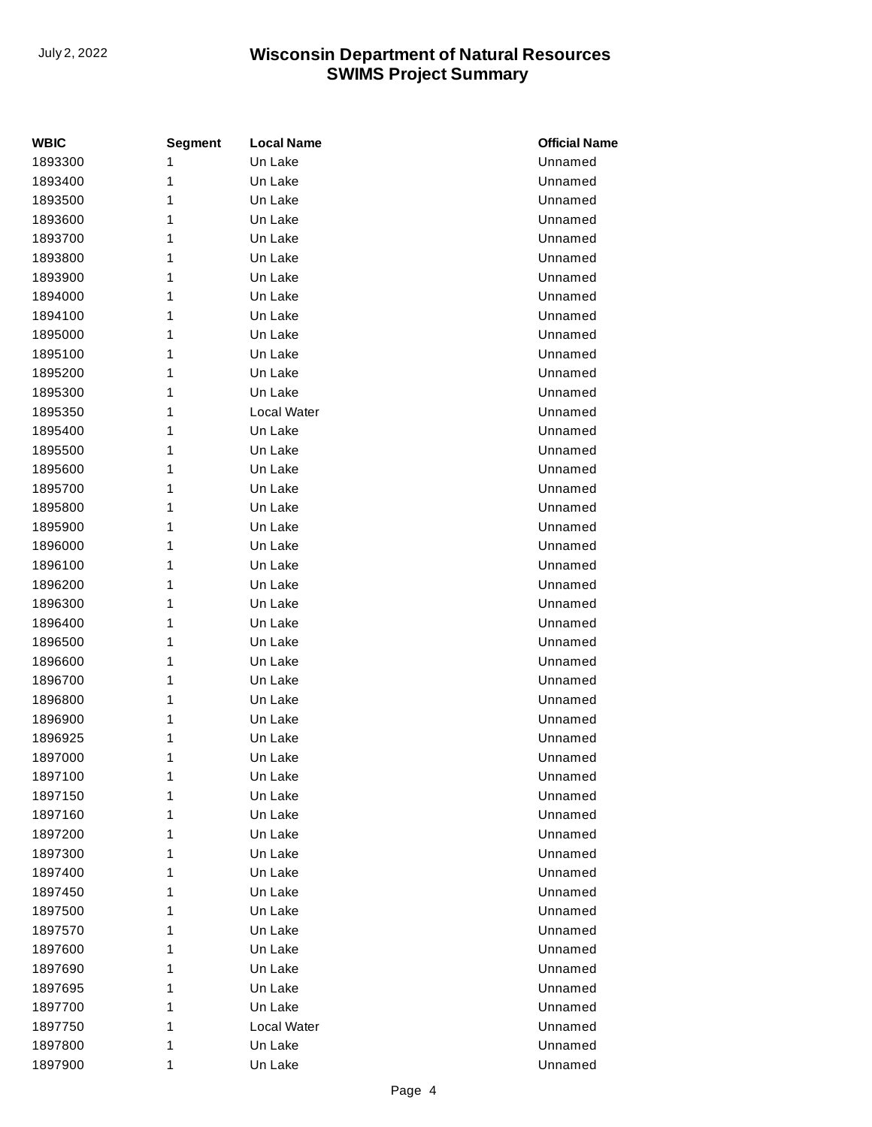| WBIC    | <b>Segment</b> | <b>Local Name</b> | <b>Official Name</b> |
|---------|----------------|-------------------|----------------------|
| 1893300 | 1              | Un Lake           | Unnamed              |
| 1893400 | 1              | Un Lake           | Unnamed              |
| 1893500 | 1              | Un Lake           | Unnamed              |
| 1893600 | 1              | Un Lake           | Unnamed              |
| 1893700 | 1              | Un Lake           | Unnamed              |
| 1893800 | 1              | Un Lake           | Unnamed              |
| 1893900 | 1              | Un Lake           | Unnamed              |
| 1894000 | 1              | Un Lake           | Unnamed              |
| 1894100 | 1              | Un Lake           | Unnamed              |
| 1895000 | 1              | Un Lake           | Unnamed              |
| 1895100 | 1              | Un Lake           | Unnamed              |
| 1895200 | 1              | Un Lake           | Unnamed              |
| 1895300 | 1              | Un Lake           | Unnamed              |
| 1895350 | 1              | Local Water       | Unnamed              |
| 1895400 | 1              | Un Lake           | Unnamed              |
| 1895500 | 1              | Un Lake           | Unnamed              |
| 1895600 | 1              | Un Lake           | Unnamed              |
| 1895700 | 1              | Un Lake           | Unnamed              |
| 1895800 | 1              | Un Lake           | Unnamed              |
| 1895900 | 1              | Un Lake           | Unnamed              |
| 1896000 | 1              | Un Lake           | Unnamed              |
| 1896100 | 1              | Un Lake           | Unnamed              |
| 1896200 | 1              | Un Lake           | Unnamed              |
| 1896300 | 1              | Un Lake           | Unnamed              |
| 1896400 | 1              | Un Lake           | Unnamed              |
| 1896500 | 1              | Un Lake           | Unnamed              |
| 1896600 | 1              | Un Lake           | Unnamed              |
| 1896700 | 1              | Un Lake           | Unnamed              |
| 1896800 | 1              | Un Lake           | Unnamed              |
| 1896900 | 1              | Un Lake           | Unnamed              |
| 1896925 | 1              | Un Lake           | Unnamed              |
| 1897000 | 1              | Un Lake           | Unnamed              |
| 1897100 | 1              | Un Lake           | Unnamed              |
| 1897150 | 1              | Un Lake           | Unnamed              |
| 1897160 | 1              | Un Lake           | Unnamed              |
| 1897200 | 1              | Un Lake           | Unnamed              |
| 1897300 | 1              | Un Lake           | Unnamed              |
| 1897400 | 1              | Un Lake           | Unnamed              |
| 1897450 | 1              | Un Lake           | Unnamed              |
| 1897500 | 1              | Un Lake           | Unnamed              |
| 1897570 | 1              | Un Lake           | Unnamed              |
| 1897600 | 1              | Un Lake           | Unnamed              |
| 1897690 | 1              | Un Lake           | Unnamed              |
| 1897695 | 1              | Un Lake           | Unnamed              |
| 1897700 | 1              | Un Lake           | Unnamed              |
| 1897750 | 1              | Local Water       | Unnamed              |
| 1897800 | 1              | Un Lake           | Unnamed              |
| 1897900 | 1              | Un Lake           | Unnamed              |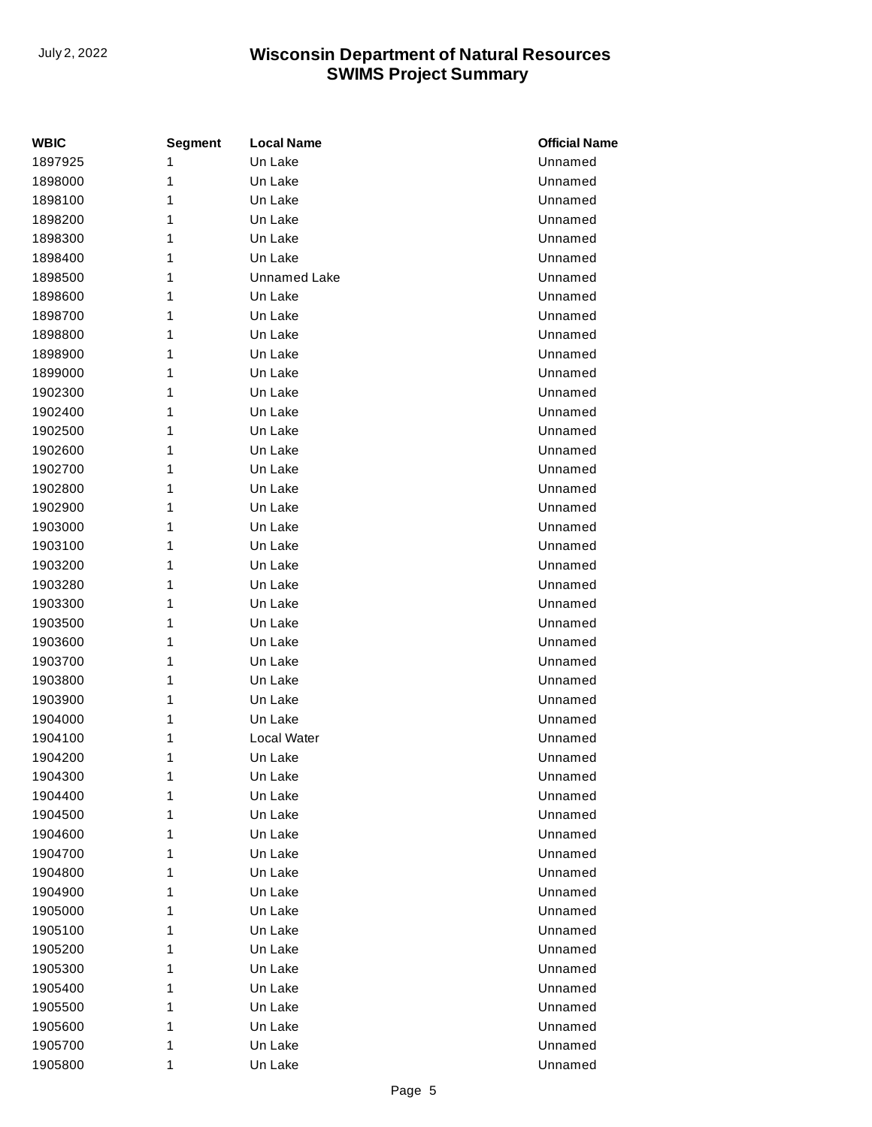| WBIC    | <b>Segment</b> | <b>Local Name</b>   | <b>Official Name</b> |
|---------|----------------|---------------------|----------------------|
| 1897925 | 1              | Un Lake             | Unnamed              |
| 1898000 | 1              | Un Lake             | Unnamed              |
| 1898100 | 1              | Un Lake             | Unnamed              |
| 1898200 | 1              | Un Lake             | Unnamed              |
| 1898300 | 1              | Un Lake             | Unnamed              |
| 1898400 | 1              | Un Lake             | Unnamed              |
| 1898500 | 1              | <b>Unnamed Lake</b> | Unnamed              |
| 1898600 | 1              | Un Lake             | Unnamed              |
| 1898700 | 1              | Un Lake             | Unnamed              |
| 1898800 | 1              | Un Lake             | Unnamed              |
| 1898900 | 1              | Un Lake             | Unnamed              |
| 1899000 | 1              | Un Lake             | Unnamed              |
| 1902300 | 1              | Un Lake             | Unnamed              |
| 1902400 | 1              | Un Lake             | Unnamed              |
| 1902500 | 1              | Un Lake             | Unnamed              |
| 1902600 | 1              | Un Lake             | Unnamed              |
| 1902700 | 1              | Un Lake             | Unnamed              |
| 1902800 | 1              | Un Lake             | Unnamed              |
| 1902900 | 1              | Un Lake             | Unnamed              |
| 1903000 | 1              | Un Lake             | Unnamed              |
| 1903100 | 1              | Un Lake             | Unnamed              |
| 1903200 | 1              | Un Lake             | Unnamed              |
| 1903280 | 1              | Un Lake             | Unnamed              |
| 1903300 | 1              | Un Lake             | Unnamed              |
| 1903500 | 1              | Un Lake             | Unnamed              |
| 1903600 | 1              | Un Lake             | Unnamed              |
| 1903700 | 1              | Un Lake             | Unnamed              |
| 1903800 | 1              | Un Lake             | Unnamed              |
| 1903900 | 1              | Un Lake             | Unnamed              |
| 1904000 | 1              | Un Lake             | Unnamed              |
| 1904100 | 1              | Local Water         | Unnamed              |
| 1904200 | 1              | Un Lake             | Unnamed              |
| 1904300 | 1              | Un Lake             | Unnamed              |
| 1904400 | 1              | Un Lake             | Unnamed              |
| 1904500 | 1              | Un Lake             | Unnamed              |
| 1904600 | 1              | Un Lake             | Unnamed              |
| 1904700 | 1              | Un Lake             | Unnamed              |
| 1904800 | 1              | Un Lake             | Unnamed              |
| 1904900 | 1              | Un Lake             | Unnamed              |
| 1905000 | 1              | Un Lake             | Unnamed              |
| 1905100 | 1              | Un Lake             | Unnamed              |
| 1905200 | 1              | Un Lake             | Unnamed              |
| 1905300 | 1              | Un Lake             | Unnamed              |
| 1905400 | 1              | Un Lake             | Unnamed              |
| 1905500 | 1              | Un Lake             | Unnamed              |
| 1905600 | 1              | Un Lake             | Unnamed              |
| 1905700 | 1              | Un Lake             | Unnamed              |
| 1905800 | 1              | Un Lake             | Unnamed              |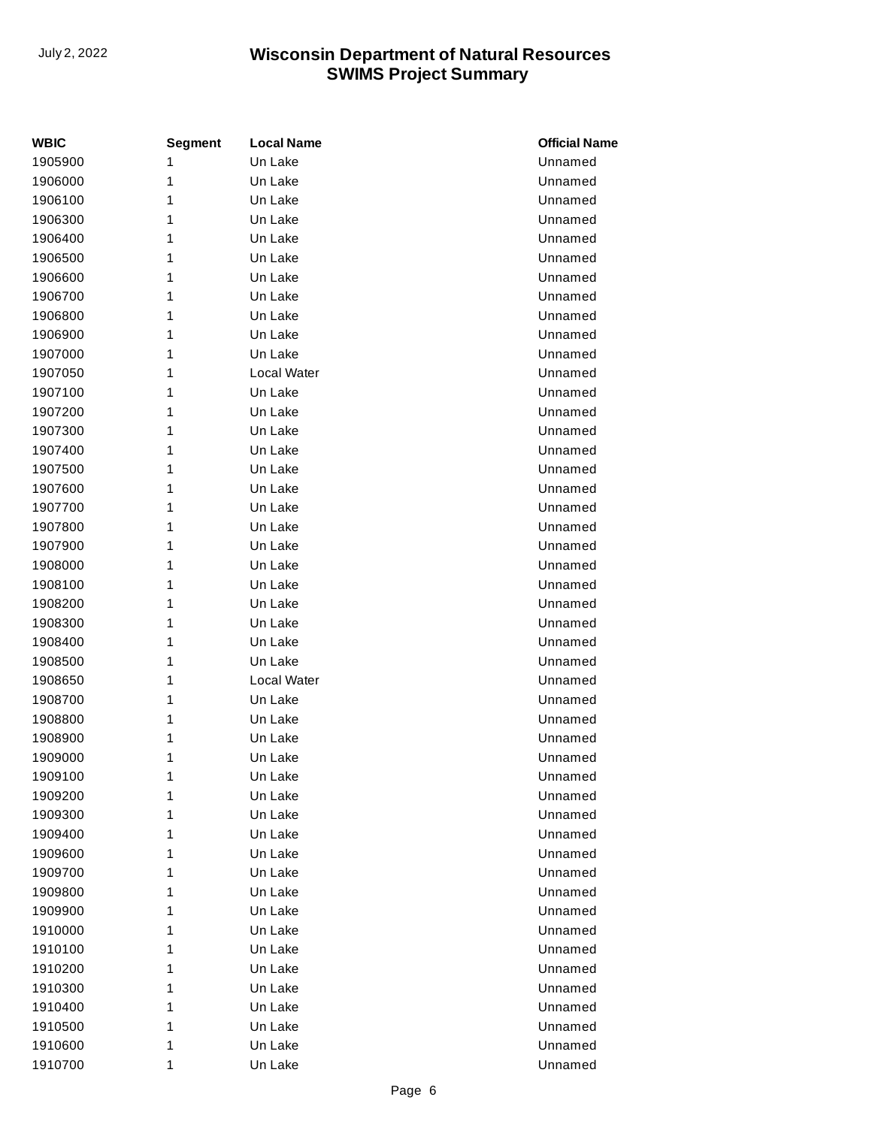| WBIC    | Segment | <b>Local Name</b> | <b>Official Name</b> |
|---------|---------|-------------------|----------------------|
| 1905900 | 1       | Un Lake           | Unnamed              |
| 1906000 | 1       | Un Lake           | Unnamed              |
| 1906100 | 1       | Un Lake           | Unnamed              |
| 1906300 | 1       | Un Lake           | Unnamed              |
| 1906400 | 1       | Un Lake           | Unnamed              |
| 1906500 | 1       | Un Lake           | Unnamed              |
| 1906600 | 1       | Un Lake           | Unnamed              |
| 1906700 | 1       | Un Lake           | Unnamed              |
| 1906800 | 1       | Un Lake           | Unnamed              |
| 1906900 | 1       | Un Lake           | Unnamed              |
| 1907000 | 1       | Un Lake           | Unnamed              |
| 1907050 | 1       | Local Water       | Unnamed              |
| 1907100 | 1       | Un Lake           | Unnamed              |
| 1907200 | 1       | Un Lake           | Unnamed              |
| 1907300 | 1       | Un Lake           | Unnamed              |
| 1907400 | 1       | Un Lake           | Unnamed              |
| 1907500 | 1       | Un Lake           | Unnamed              |
| 1907600 | 1       | Un Lake           | Unnamed              |
| 1907700 | 1       | Un Lake           | Unnamed              |
| 1907800 | 1       | Un Lake           | Unnamed              |
| 1907900 | 1       | Un Lake           | Unnamed              |
| 1908000 | 1       | Un Lake           | Unnamed              |
| 1908100 | 1       | Un Lake           | Unnamed              |
| 1908200 | 1       | Un Lake           | Unnamed              |
| 1908300 | 1       | Un Lake           | Unnamed              |
| 1908400 | 1       | Un Lake           | Unnamed              |
| 1908500 | 1       | Un Lake           | Unnamed              |
| 1908650 | 1       | Local Water       | Unnamed              |
| 1908700 | 1       | Un Lake           | Unnamed              |
| 1908800 | 1       | Un Lake           | Unnamed              |
| 1908900 | 1       | Un Lake           | Unnamed              |
| 1909000 | 1       | Un Lake           | Unnamed              |
| 1909100 | 1       | Un Lake           | Unnamed              |
| 1909200 | 1       | Un Lake           | Unnamed              |
| 1909300 | 1       | Un Lake           | Unnamed              |
| 1909400 | 1       | Un Lake           | Unnamed              |
| 1909600 | 1       | Un Lake           | Unnamed              |
| 1909700 | 1       | Un Lake           | Unnamed              |
| 1909800 | 1       | Un Lake           | Unnamed              |
| 1909900 | 1       | Un Lake           | Unnamed              |
| 1910000 | 1       | Un Lake           | Unnamed              |
| 1910100 | 1       | Un Lake           | Unnamed              |
| 1910200 | 1       | Un Lake           | Unnamed              |
| 1910300 | 1       | Un Lake           | Unnamed              |
| 1910400 | 1       | Un Lake           | Unnamed              |
| 1910500 | 1       | Un Lake           | Unnamed              |
| 1910600 | 1       | Un Lake           | Unnamed              |
| 1910700 | 1       | Un Lake           | Unnamed              |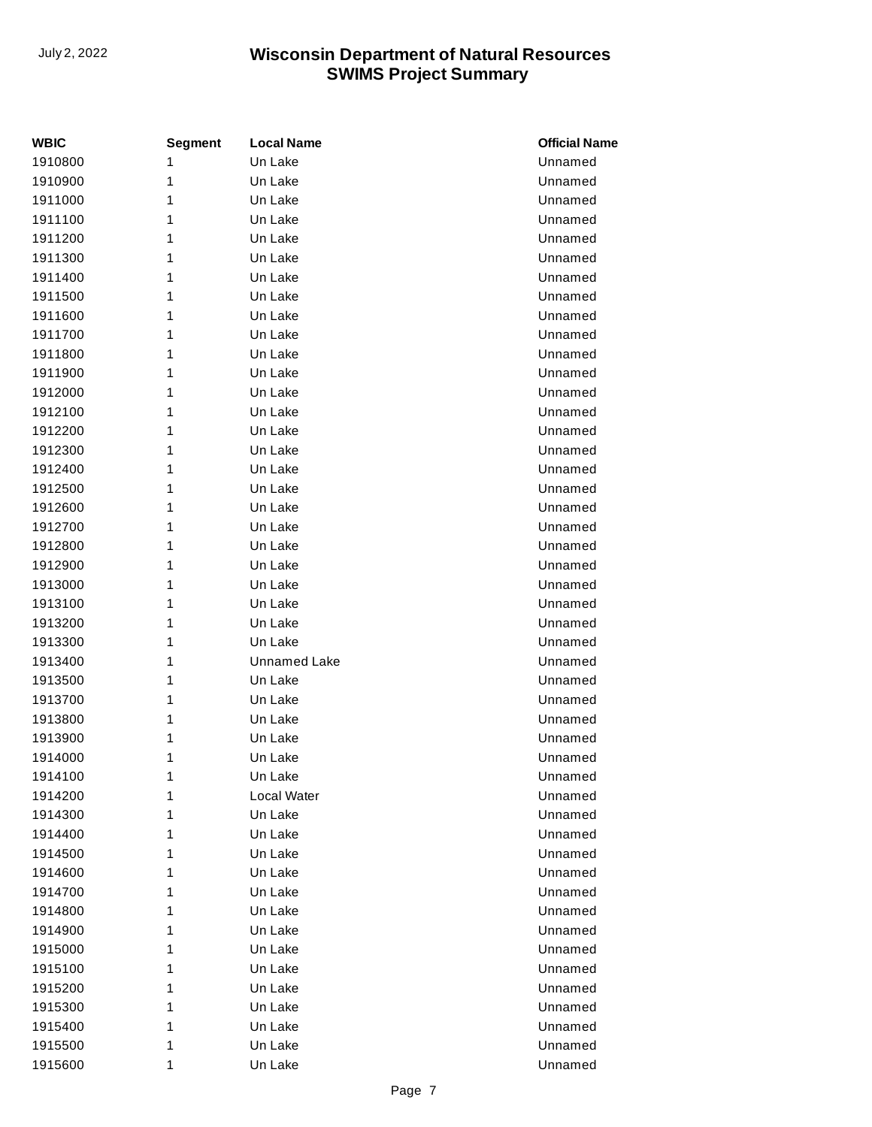| WBIC    | <b>Segment</b> | <b>Local Name</b>   | <b>Official Name</b> |
|---------|----------------|---------------------|----------------------|
| 1910800 | 1              | Un Lake             | Unnamed              |
| 1910900 | 1              | Un Lake             | Unnamed              |
| 1911000 | 1              | Un Lake             | Unnamed              |
| 1911100 | 1              | Un Lake             | Unnamed              |
| 1911200 | 1              | Un Lake             | Unnamed              |
| 1911300 | 1              | Un Lake             | Unnamed              |
| 1911400 | 1              | Un Lake             | Unnamed              |
| 1911500 | 1              | Un Lake             | Unnamed              |
| 1911600 | 1              | Un Lake             | Unnamed              |
| 1911700 | 1              | Un Lake             | Unnamed              |
| 1911800 | 1              | Un Lake             | Unnamed              |
| 1911900 | 1              | Un Lake             | Unnamed              |
| 1912000 | 1              | Un Lake             | Unnamed              |
| 1912100 | 1              | Un Lake             | Unnamed              |
| 1912200 | 1              | Un Lake             | Unnamed              |
| 1912300 | 1              | Un Lake             | Unnamed              |
| 1912400 | 1              | Un Lake             | Unnamed              |
| 1912500 | 1              | Un Lake             | Unnamed              |
| 1912600 | 1              | Un Lake             | Unnamed              |
| 1912700 | 1              | Un Lake             | Unnamed              |
| 1912800 | 1              | Un Lake             | Unnamed              |
| 1912900 | 1              | Un Lake             | Unnamed              |
| 1913000 | 1              | Un Lake             | Unnamed              |
| 1913100 | 1              | Un Lake             | Unnamed              |
| 1913200 | 1              | Un Lake             | Unnamed              |
| 1913300 | 1              | Un Lake             | Unnamed              |
| 1913400 | 1              | <b>Unnamed Lake</b> | Unnamed              |
| 1913500 | 1              | Un Lake             | Unnamed              |
| 1913700 | 1              | Un Lake             | Unnamed              |
| 1913800 | 1              | Un Lake             | Unnamed              |
| 1913900 | 1              | Un Lake             | Unnamed              |
| 1914000 | 1              | Un Lake             | Unnamed              |
| 1914100 | 1              | Un Lake             | Unnamed              |
| 1914200 | 1              | <b>Local Water</b>  | Unnamed              |
| 1914300 | 1              | Un Lake             | Unnamed              |
| 1914400 | 1              | Un Lake             | Unnamed              |
| 1914500 | 1              | Un Lake             | Unnamed              |
| 1914600 | 1              | Un Lake             | Unnamed              |
| 1914700 | 1              | Un Lake             | Unnamed              |
| 1914800 | 1              | Un Lake             | Unnamed              |
| 1914900 | 1              | Un Lake             | Unnamed              |
| 1915000 | 1              | Un Lake             | Unnamed              |
| 1915100 | 1              | Un Lake             | Unnamed              |
| 1915200 | 1              | Un Lake             | Unnamed              |
| 1915300 | 1              | Un Lake             | Unnamed              |
| 1915400 | 1              | Un Lake             | Unnamed              |
| 1915500 | 1              | Un Lake             | Unnamed              |
| 1915600 | 1              | Un Lake             | Unnamed              |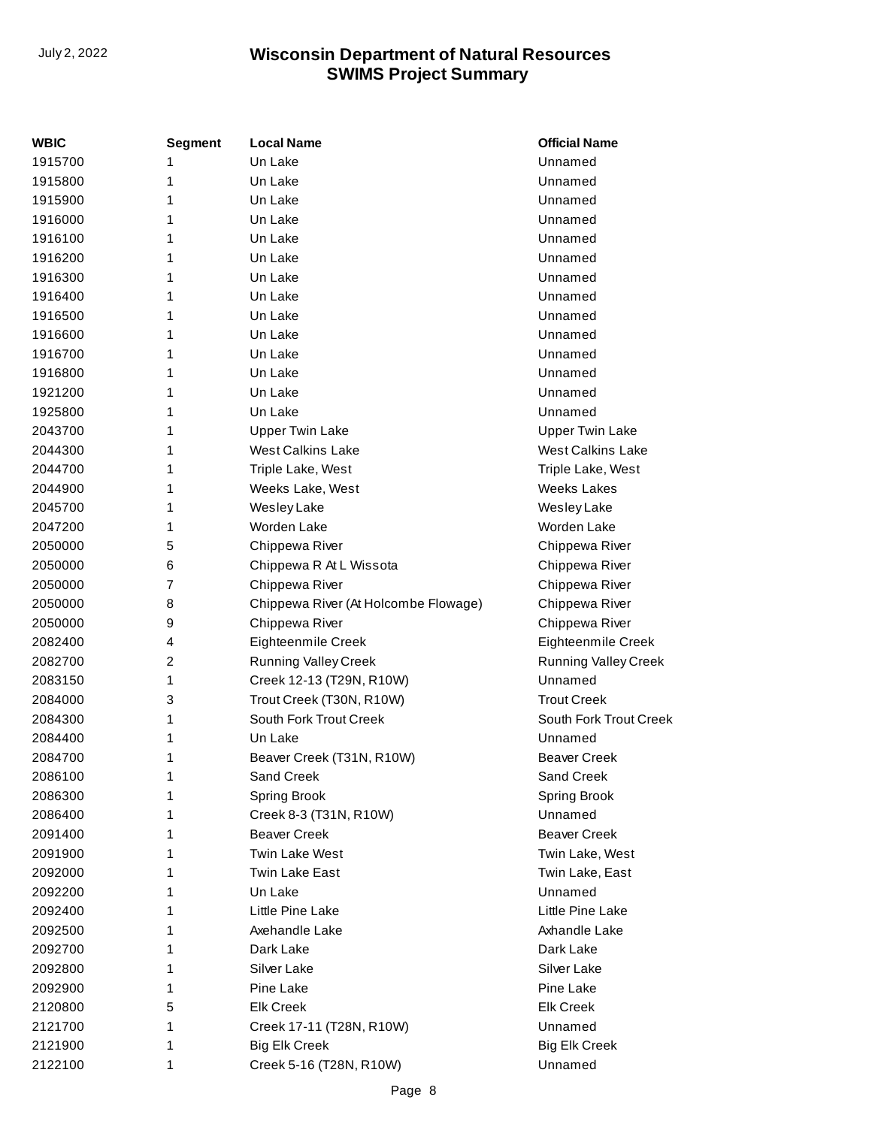| WBIC    | <b>Segment</b> | <b>Local Name</b>                    | <b>Official Name</b>        |
|---------|----------------|--------------------------------------|-----------------------------|
| 1915700 | 1              | Un Lake                              | Unnamed                     |
| 1915800 | 1              | Un Lake                              | Unnamed                     |
| 1915900 | 1              | Un Lake                              | Unnamed                     |
| 1916000 | 1              | Un Lake                              | Unnamed                     |
| 1916100 | 1              | Un Lake                              | Unnamed                     |
| 1916200 | 1              | Un Lake                              | Unnamed                     |
| 1916300 | 1              | Un Lake                              | Unnamed                     |
| 1916400 | 1              | Un Lake                              | Unnamed                     |
| 1916500 | 1              | Un Lake                              | Unnamed                     |
| 1916600 | 1              | Un Lake                              | Unnamed                     |
| 1916700 | 1              | Un Lake                              | Unnamed                     |
| 1916800 | 1              | Un Lake                              | Unnamed                     |
| 1921200 | 1              | Un Lake                              | Unnamed                     |
| 1925800 | 1              | Un Lake                              | Unnamed                     |
| 2043700 | 1              | <b>Upper Twin Lake</b>               | <b>Upper Twin Lake</b>      |
| 2044300 | 1              | <b>West Calkins Lake</b>             | <b>West Calkins Lake</b>    |
| 2044700 | 1              | Triple Lake, West                    | Triple Lake, West           |
| 2044900 | 1              | Weeks Lake, West                     | <b>Weeks Lakes</b>          |
| 2045700 | 1              | Wesley Lake                          | Wesley Lake                 |
| 2047200 | 1              | <b>Worden Lake</b>                   | Worden Lake                 |
| 2050000 | 5              | Chippewa River                       | Chippewa River              |
| 2050000 | 6              | Chippewa R At L Wissota              | Chippewa River              |
| 2050000 | 7              | Chippewa River                       | Chippewa River              |
| 2050000 | 8              | Chippewa River (At Holcombe Flowage) | Chippewa River              |
| 2050000 | 9              | Chippewa River                       | Chippewa River              |
| 2082400 | 4              | Eighteenmile Creek                   | Eighteenmile Creek          |
| 2082700 | 2              | <b>Running Valley Creek</b>          | <b>Running Valley Creek</b> |
| 2083150 | 1              | Creek 12-13 (T29N, R10W)             | Unnamed                     |
| 2084000 | 3              | Trout Creek (T30N, R10W)             | <b>Trout Creek</b>          |
| 2084300 | 1              | South Fork Trout Creek               | South Fork Trout Creek      |
| 2084400 | 1              | Un Lake                              | Unnamed                     |
| 2084700 | 1              | Beaver Creek (T31N, R10W)            | <b>Beaver Creek</b>         |
| 2086100 | 1              | Sand Creek                           | Sand Creek                  |
| 2086300 | 1              | <b>Spring Brook</b>                  | Spring Brook                |
| 2086400 | 1              | Creek 8-3 (T31N, R10W)               | Unnamed                     |
| 2091400 | 1              | <b>Beaver Creek</b>                  | <b>Beaver Creek</b>         |
| 2091900 | 1              | <b>Twin Lake West</b>                | Twin Lake, West             |
| 2092000 | 1              | <b>Twin Lake East</b>                | Twin Lake, East             |
| 2092200 | 1              | Un Lake                              | Unnamed                     |
| 2092400 | 1              | Little Pine Lake                     | Little Pine Lake            |
| 2092500 | 1              | Axehandle Lake                       | Axhandle Lake               |
| 2092700 | 1              | Dark Lake                            | Dark Lake                   |
| 2092800 | 1              | Silver Lake                          | Silver Lake                 |
| 2092900 | 1              | Pine Lake                            | Pine Lake                   |
| 2120800 | 5              | <b>Elk Creek</b>                     | <b>Elk Creek</b>            |
| 2121700 | 1              | Creek 17-11 (T28N, R10W)             | Unnamed                     |
| 2121900 | 1              | <b>Big Elk Creek</b>                 | <b>Big Elk Creek</b>        |
| 2122100 | 1              | Creek 5-16 (T28N, R10W)              | Unnamed                     |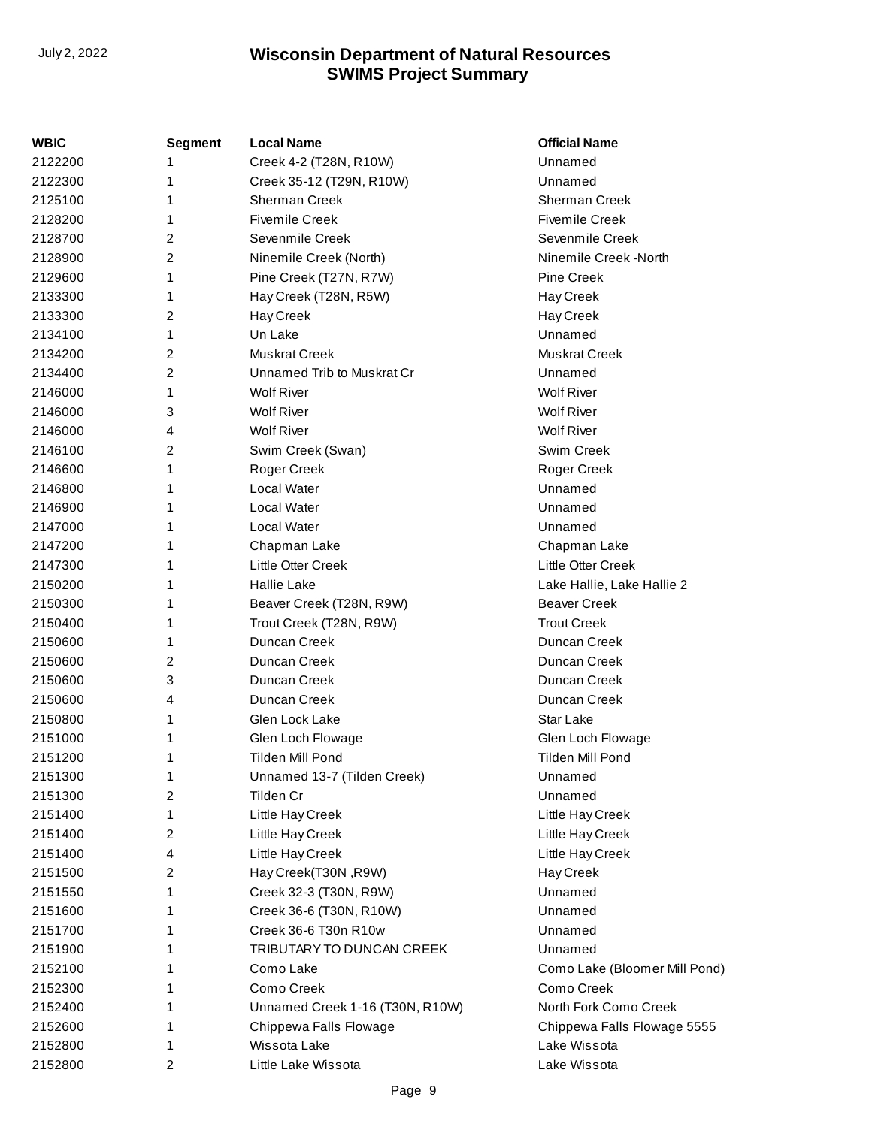| WBIC    | <b>Segment</b> | <b>Local Name</b>               | <b>Official Name</b>          |
|---------|----------------|---------------------------------|-------------------------------|
| 2122200 |                | Creek 4-2 (T28N, R10W)          | Unnamed                       |
| 2122300 | 1              | Creek 35-12 (T29N, R10W)        | Unnamed                       |
| 2125100 | 1              | Sherman Creek                   | <b>Sherman Creek</b>          |
| 2128200 | 1              | <b>Fivemile Creek</b>           | <b>Fivemile Creek</b>         |
| 2128700 | 2              | Sevenmile Creek                 | Sevenmile Creek               |
| 2128900 | 2              | Ninemile Creek (North)          | Ninemile Creek -North         |
| 2129600 | 1              | Pine Creek (T27N, R7W)          | <b>Pine Creek</b>             |
| 2133300 | 1              | Hay Creek (T28N, R5W)           | Hay Creek                     |
| 2133300 | 2              | Hay Creek                       | Hay Creek                     |
| 2134100 | 1              | Un Lake                         | Unnamed                       |
| 2134200 | 2              | Muskrat Creek                   | <b>Muskrat Creek</b>          |
| 2134400 | 2              | Unnamed Trib to Muskrat Cr      | Unnamed                       |
| 2146000 | 1              | <b>Wolf River</b>               | <b>Wolf River</b>             |
| 2146000 | 3              | <b>Wolf River</b>               | <b>Wolf River</b>             |
| 2146000 | 4              | <b>Wolf River</b>               | <b>Wolf River</b>             |
| 2146100 | 2              | Swim Creek (Swan)               | Swim Creek                    |
| 2146600 | 1              | Roger Creek                     | Roger Creek                   |
| 2146800 | 1              | <b>Local Water</b>              | Unnamed                       |
| 2146900 | 1              | <b>Local Water</b>              | Unnamed                       |
| 2147000 |                | <b>Local Water</b>              | Unnamed                       |
| 2147200 | 1              | Chapman Lake                    | Chapman Lake                  |
| 2147300 | 1              | Little Otter Creek              | Little Otter Creek            |
| 2150200 | 1              | <b>Hallie Lake</b>              | Lake Hallie, Lake Hallie 2    |
| 2150300 | 1              | Beaver Creek (T28N, R9W)        | <b>Beaver Creek</b>           |
| 2150400 | 1              | Trout Creek (T28N, R9W)         | <b>Trout Creek</b>            |
| 2150600 | 1              | Duncan Creek                    | Duncan Creek                  |
| 2150600 | 2              | Duncan Creek                    | Duncan Creek                  |
| 2150600 | 3              | Duncan Creek                    | Duncan Creek                  |
| 2150600 | 4              | Duncan Creek                    | Duncan Creek                  |
| 2150800 | 1              | Glen Lock Lake                  | Star Lake                     |
| 2151000 | 1              | Glen Loch Flowage               | Glen Loch Flowage             |
| 2151200 | 1              | Tilden Mill Pond                | Tilden Mill Pond              |
| 2151300 | 1              | Unnamed 13-7 (Tilden Creek)     | Unnamed                       |
| 2151300 | 2              | Tilden Cr                       | Unnamed                       |
| 2151400 | 1              | Little Hay Creek                | Little Hay Creek              |
| 2151400 | 2              | Little Hay Creek                | Little Hay Creek              |
| 2151400 | 4              | Little Hay Creek                | Little Hay Creek              |
| 2151500 | 2              | Hay Creek(T30N, R9W)            | Hay Creek                     |
| 2151550 | 1              | Creek 32-3 (T30N, R9W)          | Unnamed                       |
| 2151600 | 1              | Creek 36-6 (T30N, R10W)         | Unnamed                       |
| 2151700 | 1              | Creek 36-6 T30n R10w            | Unnamed                       |
| 2151900 | 1              | TRIBUTARY TO DUNCAN CREEK       | Unnamed                       |
| 2152100 | 1              | Como Lake                       | Como Lake (Bloomer Mill Pond) |
| 2152300 | 1              | Como Creek                      | Como Creek                    |
| 2152400 | 1              | Unnamed Creek 1-16 (T30N, R10W) | North Fork Como Creek         |
| 2152600 | 1              | Chippewa Falls Flowage          | Chippewa Falls Flowage 5555   |
| 2152800 | 1              | Wissota Lake                    | Lake Wissota                  |
| 2152800 | 2              | Little Lake Wissota             | Lake Wissota                  |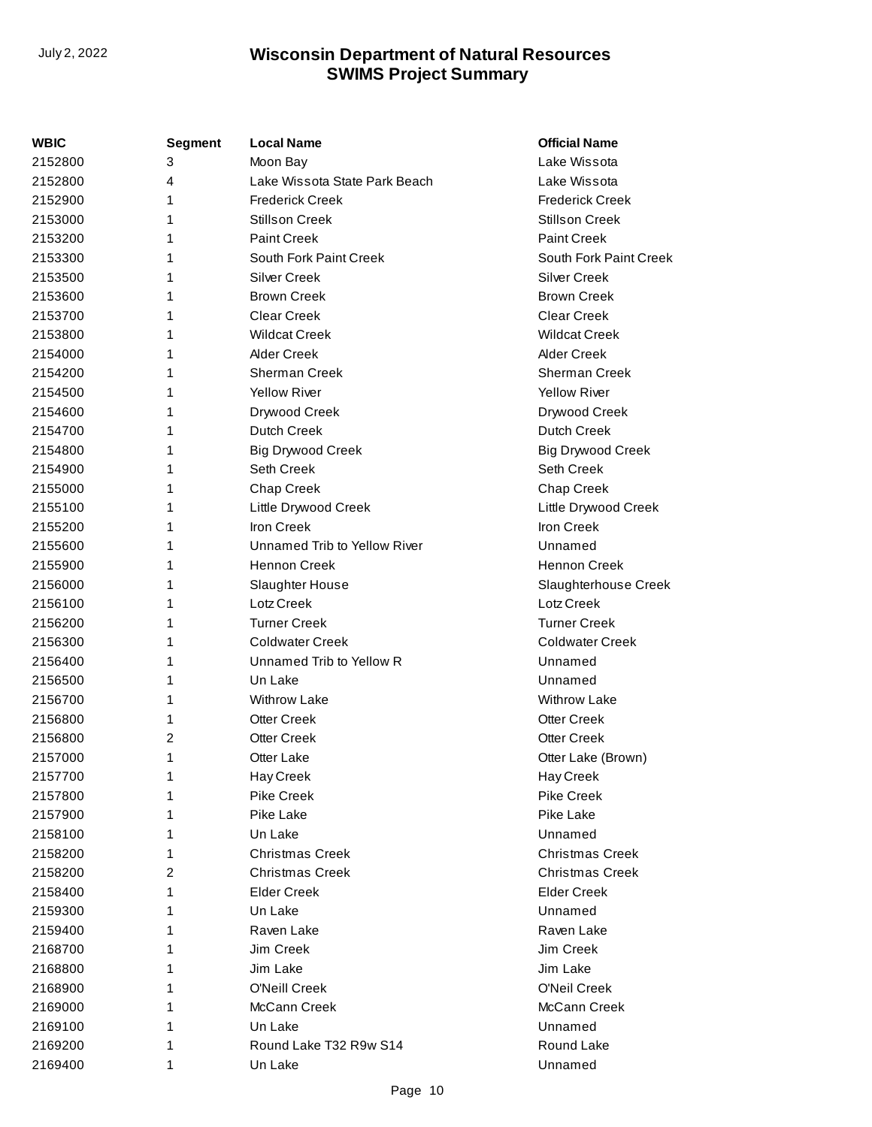| WBIC    | Segment | <b>Local Name</b>             | <b>Official Name</b>     |
|---------|---------|-------------------------------|--------------------------|
| 2152800 | 3       | Moon Bay                      | Lake Wissota             |
| 2152800 | 4       | Lake Wissota State Park Beach | Lake Wissota             |
| 2152900 | 1       | <b>Frederick Creek</b>        | <b>Frederick Creek</b>   |
| 2153000 | 1       | <b>Stillson Creek</b>         | <b>Stillson Creek</b>    |
| 2153200 | 1       | <b>Paint Creek</b>            | <b>Paint Creek</b>       |
| 2153300 | 1       | South Fork Paint Creek        | South Fork Paint Creek   |
| 2153500 | 1       | <b>Silver Creek</b>           | <b>Silver Creek</b>      |
| 2153600 | 1       | <b>Brown Creek</b>            | <b>Brown Creek</b>       |
| 2153700 | 1       | <b>Clear Creek</b>            | Clear Creek              |
| 2153800 | 1       | <b>Wildcat Creek</b>          | <b>Wildcat Creek</b>     |
| 2154000 | 1       | <b>Alder Creek</b>            | <b>Alder Creek</b>       |
| 2154200 | 1       | Sherman Creek                 | Sherman Creek            |
| 2154500 | 1       | Yellow River                  | Yellow River             |
| 2154600 | 1       | Drywood Creek                 | Drywood Creek            |
| 2154700 | 1       | Dutch Creek                   | <b>Dutch Creek</b>       |
| 2154800 | 1       | <b>Big Drywood Creek</b>      | <b>Big Drywood Creek</b> |
| 2154900 | 1       | Seth Creek                    | <b>Seth Creek</b>        |
| 2155000 | 1       | <b>Chap Creek</b>             | Chap Creek               |
| 2155100 | 1       | Little Drywood Creek          | Little Drywood Creek     |
| 2155200 | 1       | <b>Iron Creek</b>             | Iron Creek               |
| 2155600 | 1       | Unnamed Trib to Yellow River  | Unnamed                  |
| 2155900 | 1       | <b>Hennon Creek</b>           | Hennon Creek             |
| 2156000 | 1       | Slaughter House               | Slaughterhouse Creek     |
| 2156100 | 1       | Lotz Creek                    | Lotz Creek               |
| 2156200 | 1       | <b>Turner Creek</b>           | <b>Turner Creek</b>      |
| 2156300 | 1       | <b>Coldwater Creek</b>        | <b>Coldwater Creek</b>   |
| 2156400 | 1       | Unnamed Trib to Yellow R      | Unnamed                  |
| 2156500 | 1       | Un Lake                       | Unnamed                  |
| 2156700 | 1       | <b>Withrow Lake</b>           | <b>Withrow Lake</b>      |
| 2156800 | 1       | <b>Otter Creek</b>            | <b>Otter Creek</b>       |
| 2156800 | 2       | <b>Otter Creek</b>            | <b>Otter Creek</b>       |
| 2157000 | 1       | Otter Lake                    | Otter Lake (Brown)       |
| 2157700 | 1       | Hay Creek                     | Hay Creek                |
| 2157800 | 1       | Pike Creek                    | Pike Creek               |
| 2157900 | 1       | Pike Lake                     | Pike Lake                |
| 2158100 | 1       | Un Lake                       | Unnamed                  |
| 2158200 | 1       | <b>Christmas Creek</b>        | <b>Christmas Creek</b>   |
| 2158200 | 2       | <b>Christmas Creek</b>        | <b>Christmas Creek</b>   |
| 2158400 | 1       | <b>Elder Creek</b>            | <b>Elder Creek</b>       |
| 2159300 | 1       | Un Lake                       | Unnamed                  |
| 2159400 | 1       | Raven Lake                    | Raven Lake               |
| 2168700 | 1       | Jim Creek                     | Jim Creek                |
| 2168800 | 1       | Jim Lake                      | Jim Lake                 |
| 2168900 | 1       | O'Neill Creek                 | O'Neil Creek             |
| 2169000 | 1       | McCann Creek                  | McCann Creek             |
| 2169100 | 1       | Un Lake                       | Unnamed                  |
| 2169200 | 1       | Round Lake T32 R9w S14        | Round Lake               |
| 2169400 | 1       | Un Lake                       | Unnamed                  |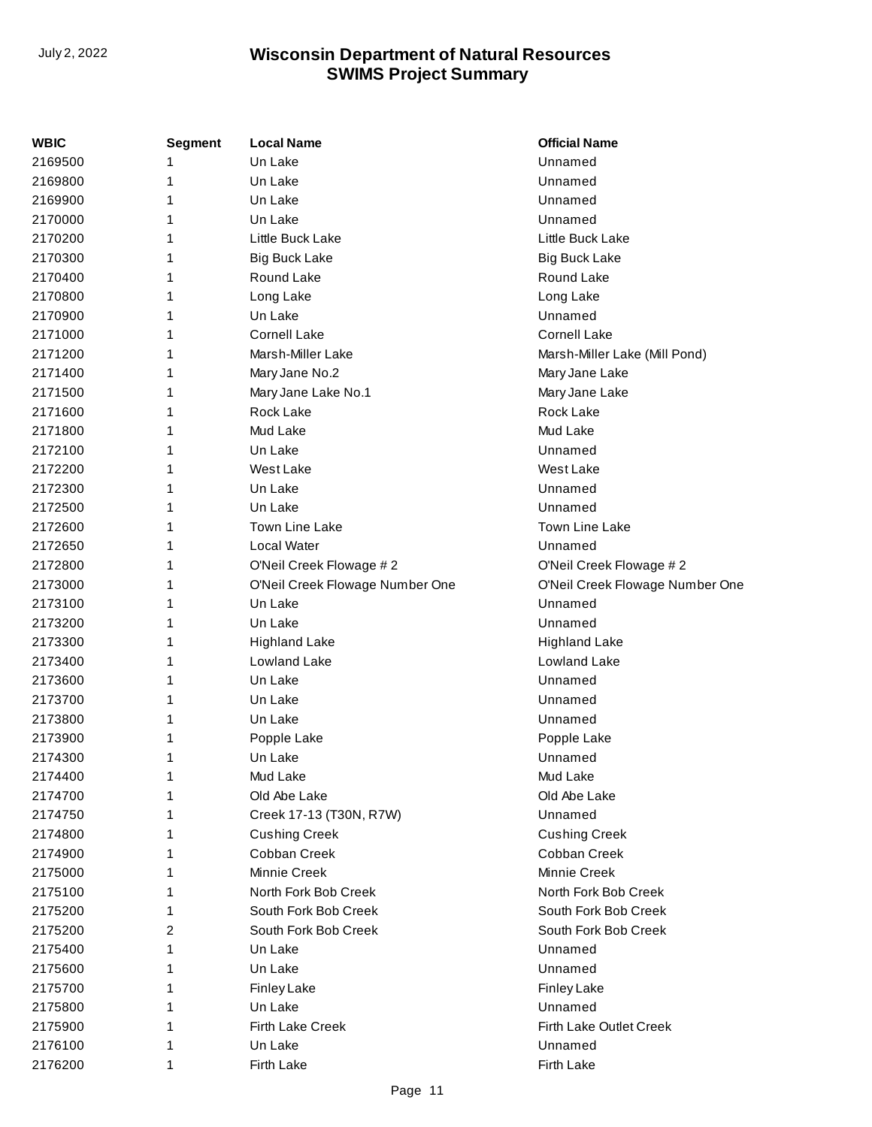| <b>WBIC</b> | Segment | <b>Local Name</b>               | <b>Official Name</b>            |
|-------------|---------|---------------------------------|---------------------------------|
| 2169500     | 1       | Un Lake                         | Unnamed                         |
| 2169800     | 1       | Un Lake                         | Unnamed                         |
| 2169900     | 1       | Un Lake                         | Unnamed                         |
| 2170000     | 1       | Un Lake                         | Unnamed                         |
| 2170200     | 1       | Little Buck Lake                | Little Buck Lake                |
| 2170300     | 1       | <b>Big Buck Lake</b>            | <b>Big Buck Lake</b>            |
| 2170400     | 1       | Round Lake                      | Round Lake                      |
| 2170800     | 1       | Long Lake                       | Long Lake                       |
| 2170900     | 1       | Un Lake                         | Unnamed                         |
| 2171000     | 1       | <b>Cornell Lake</b>             | Cornell Lake                    |
| 2171200     | 1       | Marsh-Miller Lake               | Marsh-Miller Lake (Mill Pond)   |
| 2171400     | 1       | Mary Jane No.2                  | Mary Jane Lake                  |
| 2171500     | 1       | Mary Jane Lake No.1             | Mary Jane Lake                  |
| 2171600     | 1       | Rock Lake                       | Rock Lake                       |
| 2171800     | 1       | Mud Lake                        | Mud Lake                        |
| 2172100     | 1       | Un Lake                         | Unnamed                         |
| 2172200     | 1       | West Lake                       | West Lake                       |
| 2172300     | 1       | Un Lake                         | Unnamed                         |
| 2172500     | 1       | Un Lake                         | Unnamed                         |
| 2172600     | 1       | Town Line Lake                  | <b>Town Line Lake</b>           |
| 2172650     | 1       | Local Water                     | Unnamed                         |
| 2172800     | 1       | O'Neil Creek Flowage #2         | O'Neil Creek Flowage #2         |
| 2173000     | 1       | O'Neil Creek Flowage Number One | O'Neil Creek Flowage Number One |
| 2173100     | 1       | Un Lake                         | Unnamed                         |
| 2173200     | 1       | Un Lake                         | Unnamed                         |
| 2173300     | 1       | <b>Highland Lake</b>            | <b>Highland Lake</b>            |
| 2173400     | 1       | Lowland Lake                    | Lowland Lake                    |
| 2173600     | 1       | Un Lake                         | Unnamed                         |
| 2173700     | 1       | Un Lake                         | Unnamed                         |
| 2173800     | 1       | Un Lake                         | Unnamed                         |
| 2173900     | 1       | Popple Lake                     | Popple Lake                     |
| 2174300     | 1       | Un Lake                         | Unnamed                         |
| 2174400     | 1       | Mud Lake                        | Mud Lake                        |
| 2174700     | 1       | Old Abe Lake                    | Old Abe Lake                    |
| 2174750     | 1       | Creek 17-13 (T30N, R7W)         | Unnamed                         |
| 2174800     | 1       | <b>Cushing Creek</b>            | <b>Cushing Creek</b>            |
| 2174900     | 1       | Cobban Creek                    | Cobban Creek                    |
| 2175000     | 1       | Minnie Creek                    | Minnie Creek                    |
| 2175100     | 1       | North Fork Bob Creek            | North Fork Bob Creek            |
| 2175200     | 1       | South Fork Bob Creek            | South Fork Bob Creek            |
| 2175200     | 2       | South Fork Bob Creek            | South Fork Bob Creek            |
| 2175400     | 1       | Un Lake                         | Unnamed                         |
| 2175600     | 1       | Un Lake                         | Unnamed                         |
| 2175700     | 1       | <b>Finley Lake</b>              | <b>Finley Lake</b>              |
| 2175800     | 1       | Un Lake                         | Unnamed                         |
| 2175900     | 1       | Firth Lake Creek                | Firth Lake Outlet Creek         |
| 2176100     | 1       | Un Lake                         | Unnamed                         |
| 2176200     | 1       | Firth Lake                      | Firth Lake                      |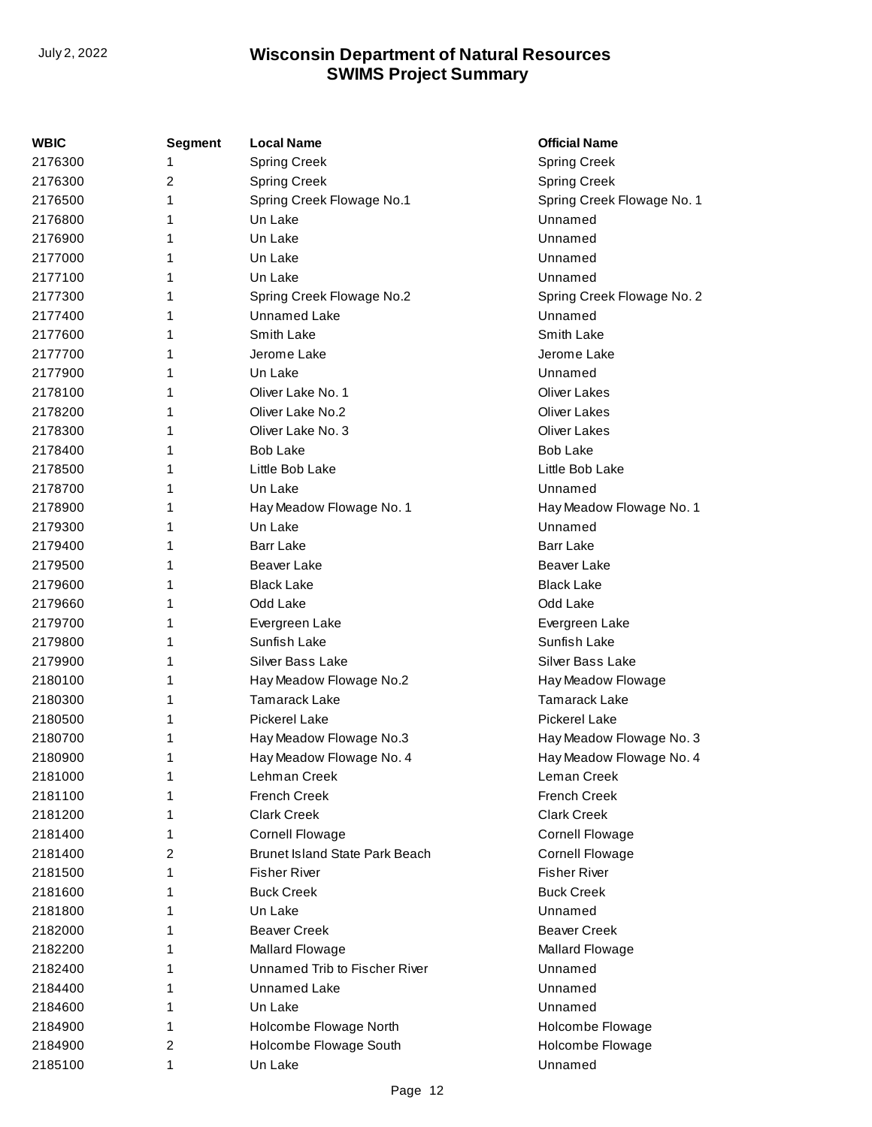| WBIC    | <b>Segment</b> | <b>Local Name</b>                     | <b>Official Name</b>       |
|---------|----------------|---------------------------------------|----------------------------|
| 2176300 | 1              | <b>Spring Creek</b>                   | <b>Spring Creek</b>        |
| 2176300 | 2              | <b>Spring Creek</b>                   | <b>Spring Creek</b>        |
| 2176500 | 1              | Spring Creek Flowage No.1             | Spring Creek Flowage No. 1 |
| 2176800 | 1              | Un Lake                               | Unnamed                    |
| 2176900 | 1              | Un Lake                               | Unnamed                    |
| 2177000 | 1              | Un Lake                               | Unnamed                    |
| 2177100 | 1              | Un Lake                               | Unnamed                    |
| 2177300 | 1              | Spring Creek Flowage No.2             | Spring Creek Flowage No. 2 |
| 2177400 | 1              | Unnamed Lake                          | Unnamed                    |
| 2177600 | 1              | Smith Lake                            | Smith Lake                 |
| 2177700 | 1              | Jerome Lake                           | Jerome Lake                |
| 2177900 | 1              | Un Lake                               | Unnamed                    |
| 2178100 | 1              | Oliver Lake No. 1                     | <b>Oliver Lakes</b>        |
| 2178200 | 1              | Oliver Lake No.2                      | <b>Oliver Lakes</b>        |
| 2178300 | 1              | Oliver Lake No. 3                     | Oliver Lakes               |
| 2178400 | 1              | <b>Bob Lake</b>                       | <b>Bob Lake</b>            |
| 2178500 | 1              | Little Bob Lake                       | Little Bob Lake            |
| 2178700 | 1              | Un Lake                               | Unnamed                    |
| 2178900 | 1              | Hay Meadow Flowage No. 1              | Hay Meadow Flowage No. 1   |
| 2179300 | 1              | Un Lake                               | Unnamed                    |
| 2179400 | 1              | <b>Barr Lake</b>                      | Barr Lake                  |
| 2179500 | 1              | Beaver Lake                           | Beaver Lake                |
| 2179600 | 1              | <b>Black Lake</b>                     | <b>Black Lake</b>          |
| 2179660 | 1              | Odd Lake                              | Odd Lake                   |
| 2179700 | 1              | Evergreen Lake                        | Evergreen Lake             |
| 2179800 | 1              | Sunfish Lake                          | Sunfish Lake               |
| 2179900 | 1              | Silver Bass Lake                      | Silver Bass Lake           |
| 2180100 | 1              | Hay Meadow Flowage No.2               | Hay Meadow Flowage         |
| 2180300 | 1              | <b>Tamarack Lake</b>                  | <b>Tamarack Lake</b>       |
| 2180500 | 1              | <b>Pickerel Lake</b>                  | Pickerel Lake              |
| 2180700 | 1              | Hay Meadow Flowage No.3               | Hay Meadow Flowage No. 3   |
| 2180900 | 1              | Hay Meadow Flowage No. 4              | Hay Meadow Flowage No. 4   |
| 2181000 | 1              | Lehman Creek                          | Leman Creek                |
| 2181100 | 1              | <b>French Creek</b>                   | <b>French Creek</b>        |
| 2181200 | 1              | <b>Clark Creek</b>                    | <b>Clark Creek</b>         |
| 2181400 | 1              | <b>Cornell Flowage</b>                | <b>Cornell Flowage</b>     |
| 2181400 | 2              | <b>Brunet Island State Park Beach</b> | <b>Cornell Flowage</b>     |
| 2181500 | 1              | <b>Fisher River</b>                   | <b>Fisher River</b>        |
| 2181600 | 1              | <b>Buck Creek</b>                     | <b>Buck Creek</b>          |
| 2181800 | 1              | Un Lake                               | Unnamed                    |
| 2182000 | 1              | <b>Beaver Creek</b>                   | <b>Beaver Creek</b>        |
| 2182200 | 1              | Mallard Flowage                       | Mallard Flowage            |
| 2182400 | 1              | Unnamed Trib to Fischer River         | Unnamed                    |
| 2184400 | 1              | Unnamed Lake                          | Unnamed                    |
| 2184600 | 1              | Un Lake                               | Unnamed                    |
| 2184900 | 1              | Holcombe Flowage North                | Holcombe Flowage           |
| 2184900 | 2              | Holcombe Flowage South                | Holcombe Flowage           |
| 2185100 | 1              | Un Lake                               | Unnamed                    |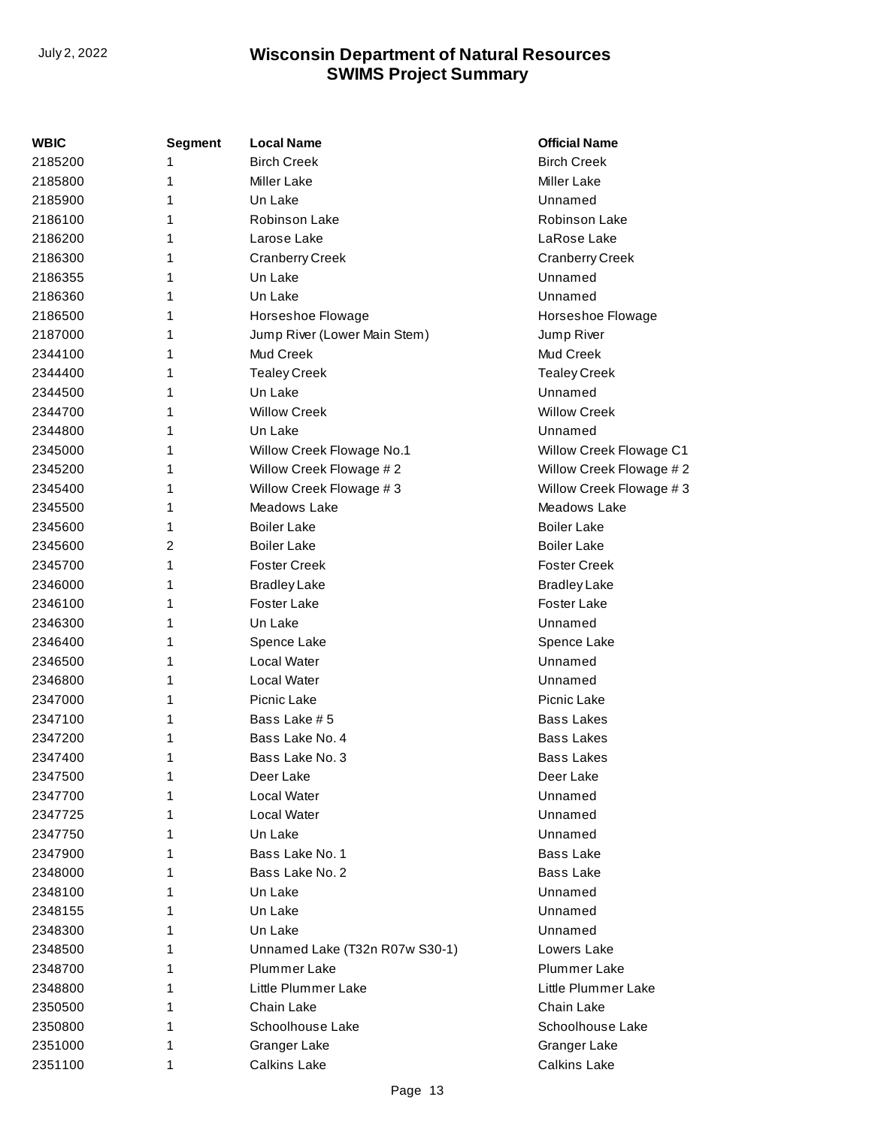| WBIC    | <b>Segment</b> | <b>Local Name</b>              | <b>Official Name</b>    |
|---------|----------------|--------------------------------|-------------------------|
| 2185200 |                | <b>Birch Creek</b>             | <b>Birch Creek</b>      |
| 2185800 | 1              | Miller Lake                    | Miller Lake             |
| 2185900 | 1              | Un Lake                        | Unnamed                 |
| 2186100 | 1              | Robinson Lake                  | Robinson Lake           |
| 2186200 | 1              | Larose Lake                    | LaRose Lake             |
| 2186300 | 1              | <b>Cranberry Creek</b>         | <b>Cranberry Creek</b>  |
| 2186355 | 1              | Un Lake                        | Unnamed                 |
| 2186360 | 1              | Un Lake                        | Unnamed                 |
| 2186500 | 1              | Horseshoe Flowage              | Horseshoe Flowage       |
| 2187000 | 1              | Jump River (Lower Main Stem)   | Jump River              |
| 2344100 | 1              | <b>Mud Creek</b>               | Mud Creek               |
| 2344400 | 1              | <b>Tealey Creek</b>            | <b>Tealey Creek</b>     |
| 2344500 | 1              | Un Lake                        | Unnamed                 |
| 2344700 | 1              | <b>Willow Creek</b>            | <b>Willow Creek</b>     |
| 2344800 | 1              | Un Lake                        | Unnamed                 |
| 2345000 | 1              | Willow Creek Flowage No.1      | Willow Creek Flowage C1 |
| 2345200 | 1              | Willow Creek Flowage #2        | Willow Creek Flowage #2 |
| 2345400 | 1              | Willow Creek Flowage #3        | Willow Creek Flowage #3 |
| 2345500 | 1              | Meadows Lake                   | Meadows Lake            |
| 2345600 | 1              | <b>Boiler Lake</b>             | <b>Boiler Lake</b>      |
| 2345600 | 2              | <b>Boiler Lake</b>             | <b>Boiler Lake</b>      |
| 2345700 | 1              | <b>Foster Creek</b>            | <b>Foster Creek</b>     |
| 2346000 | 1              | <b>Bradley Lake</b>            | <b>Bradley Lake</b>     |
| 2346100 | 1              | Foster Lake                    | Foster Lake             |
| 2346300 | 1              | Un Lake                        | Unnamed                 |
| 2346400 | 1              | Spence Lake                    | Spence Lake             |
| 2346500 | 1              | Local Water                    | Unnamed                 |
| 2346800 | 1              | Local Water                    | Unnamed                 |
| 2347000 | 1              | Picnic Lake                    | Picnic Lake             |
| 2347100 | 1              | Bass Lake # 5                  | <b>Bass Lakes</b>       |
| 2347200 | 1              | Bass Lake No. 4                | <b>Bass Lakes</b>       |
| 2347400 | 1              | Bass Lake No. 3                | <b>Bass Lakes</b>       |
| 2347500 | 1              | Deer Lake                      | Deer Lake               |
| 2347700 | 1              | Local Water                    | Unnamed                 |
| 2347725 | 1              | Local Water                    | Unnamed                 |
| 2347750 | 1              | Un Lake                        | Unnamed                 |
| 2347900 | 1              | Bass Lake No. 1                | <b>Bass Lake</b>        |
| 2348000 | 1              | Bass Lake No. 2                | <b>Bass Lake</b>        |
| 2348100 | 1              | Un Lake                        | Unnamed                 |
| 2348155 | 1              | Un Lake                        | Unnamed                 |
| 2348300 | 1              | Un Lake                        | Unnamed                 |
| 2348500 | 1              | Unnamed Lake (T32n R07w S30-1) | Lowers Lake             |
| 2348700 | 1              | <b>Plummer Lake</b>            | Plummer Lake            |
| 2348800 | 1              | Little Plummer Lake            | Little Plummer Lake     |
| 2350500 | 1              | Chain Lake                     | Chain Lake              |
| 2350800 | 1              | Schoolhouse Lake               | Schoolhouse Lake        |
| 2351000 |                | Granger Lake                   | Granger Lake            |
| 2351100 | 1              | <b>Calkins Lake</b>            | <b>Calkins Lake</b>     |
|         |                |                                |                         |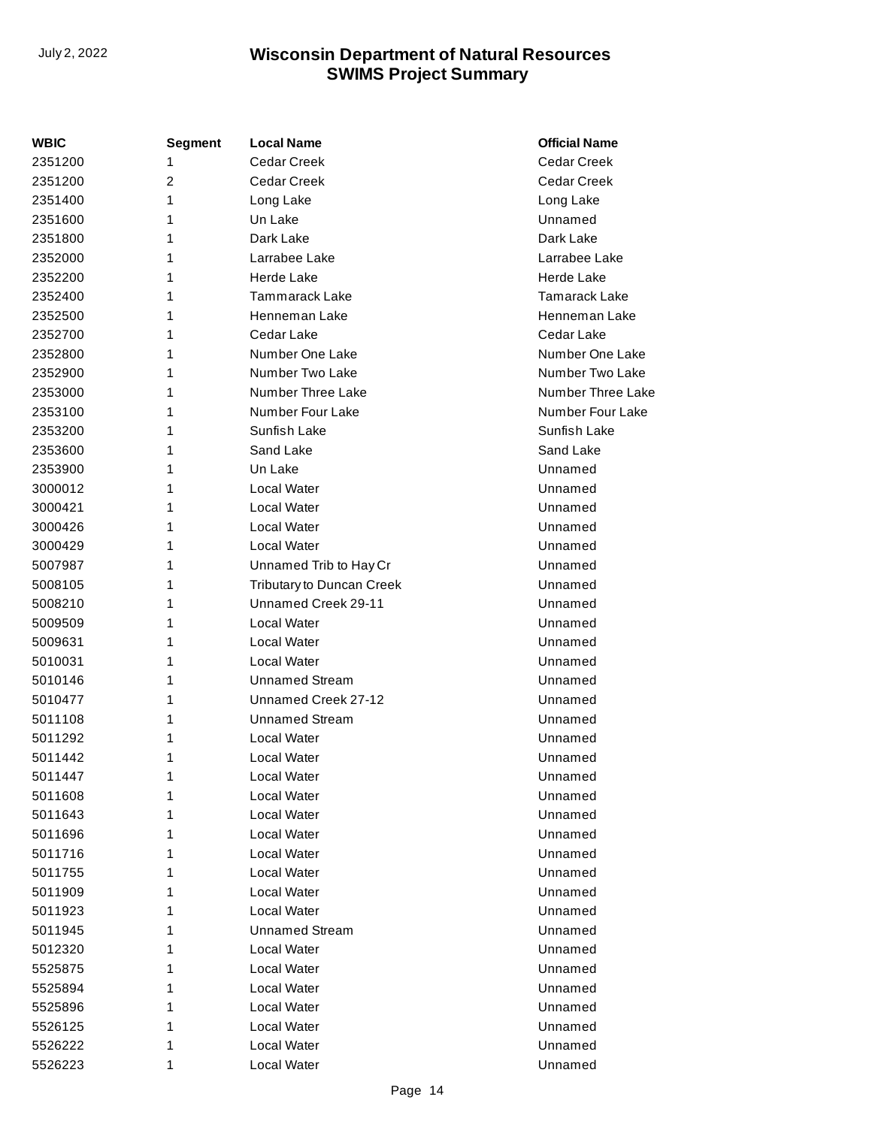| WBIC    | <b>Segment</b> | <b>Local Name</b>         | <b>Official Name</b> |
|---------|----------------|---------------------------|----------------------|
| 2351200 | 1              | <b>Cedar Creek</b>        | Cedar Creek          |
| 2351200 | $\overline{2}$ | <b>Cedar Creek</b>        | Cedar Creek          |
| 2351400 | 1              | Long Lake                 | Long Lake            |
| 2351600 | 1              | Un Lake                   | Unnamed              |
| 2351800 | 1              | Dark Lake                 | Dark Lake            |
| 2352000 | 1              | Larrabee Lake             | Larrabee Lake        |
| 2352200 | 1              | Herde Lake                | <b>Herde Lake</b>    |
| 2352400 | 1              | Tammarack Lake            | Tamarack Lake        |
| 2352500 | 1              | Henneman Lake             | Henneman Lake        |
| 2352700 | 1              | Cedar Lake                | Cedar Lake           |
| 2352800 | 1              | Number One Lake           | Number One Lake      |
| 2352900 | 1              | Number Two Lake           | Number Two Lake      |
| 2353000 | 1              | Number Three Lake         | Number Three Lake    |
| 2353100 | 1              | Number Four Lake          | Number Four Lake     |
| 2353200 | 1              | Sunfish Lake              | Sunfish Lake         |
| 2353600 | 1              | Sand Lake                 | Sand Lake            |
| 2353900 | 1              | Un Lake                   | Unnamed              |
| 3000012 | 1              | Local Water               | Unnamed              |
| 3000421 | 1              | Local Water               | Unnamed              |
| 3000426 | 1              | Local Water               | Unnamed              |
| 3000429 | 1              | Local Water               | Unnamed              |
| 5007987 | 1              | Unnamed Trib to Hay Cr    | Unnamed              |
| 5008105 | 1              | Tributary to Duncan Creek | Unnamed              |
| 5008210 | 1              | Unnamed Creek 29-11       | Unnamed              |
| 5009509 | 1              | Local Water               | Unnamed              |
| 5009631 | 1              | Local Water               | Unnamed              |
| 5010031 | 1              | Local Water               | Unnamed              |
| 5010146 | 1              | <b>Unnamed Stream</b>     | Unnamed              |
| 5010477 | 1              | Unnamed Creek 27-12       | Unnamed              |
| 5011108 | 1              | <b>Unnamed Stream</b>     | Unnamed              |
| 5011292 | 1              | Local Water               | Unnamed              |
| 5011442 | 1              | Local Water               | Unnamed              |
| 5011447 | 1              | Local Water               | Unnamed              |
| 5011608 | 1              | Local Water               | Unnamed              |
| 5011643 | 1              | Local Water               | Unnamed              |
| 5011696 | 1              | Local Water               | Unnamed              |
| 5011716 | 1              | Local Water               | Unnamed              |
| 5011755 | 1              | Local Water               | Unnamed              |
| 5011909 | 1              | Local Water               | Unnamed              |
| 5011923 | 1              | Local Water               | Unnamed              |
| 5011945 | 1              | <b>Unnamed Stream</b>     | Unnamed              |
| 5012320 | 1              | Local Water               | Unnamed              |
| 5525875 | 1              | Local Water               | Unnamed              |
| 5525894 | 1              | Local Water               | Unnamed              |
| 5525896 | 1              | Local Water               | Unnamed              |
| 5526125 | 1              | Local Water               | Unnamed              |
| 5526222 | 1              | Local Water               | Unnamed              |
| 5526223 | 1              | Local Water               | Unnamed              |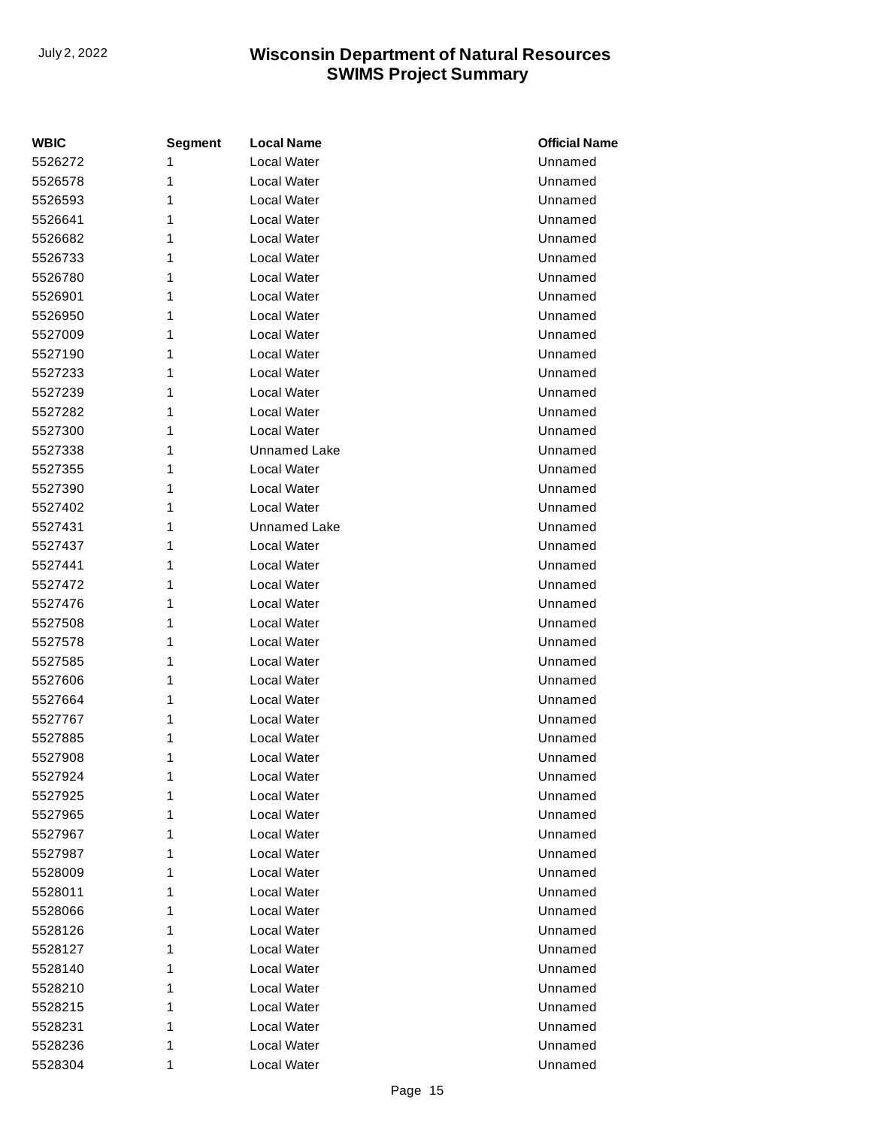| <b>WBIC</b> | <b>Segment</b> | <b>Local Name</b>   | <b>Official Name</b> |
|-------------|----------------|---------------------|----------------------|
| 5526272     | 1              | <b>Local Water</b>  | Unnamed              |
| 5526578     | 1              | Local Water         | Unnamed              |
| 5526593     | 1              | Local Water         | Unnamed              |
| 5526641     | 1              | Local Water         | Unnamed              |
| 5526682     | 1              | Local Water         | Unnamed              |
| 5526733     | 1              | <b>Local Water</b>  | Unnamed              |
| 5526780     | 1              | Local Water         | Unnamed              |
| 5526901     | 1              | Local Water         | Unnamed              |
| 5526950     | 1              | Local Water         | Unnamed              |
| 5527009     | 1              | Local Water         | Unnamed              |
| 5527190     | 1              | Local Water         | Unnamed              |
| 5527233     | 1              | Local Water         | Unnamed              |
| 5527239     | 1              | Local Water         | Unnamed              |
| 5527282     | 1              | Local Water         | Unnamed              |
| 5527300     | 1              | Local Water         | Unnamed              |
| 5527338     | 1              | <b>Unnamed Lake</b> | Unnamed              |
| 5527355     | 1              | Local Water         | Unnamed              |
| 5527390     | 1              | Local Water         | Unnamed              |
| 5527402     | 1              | Local Water         | Unnamed              |
| 5527431     | 1              | <b>Unnamed Lake</b> | Unnamed              |
| 5527437     | 1              | Local Water         | Unnamed              |
| 5527441     | 1              | <b>Local Water</b>  | Unnamed              |
| 5527472     | 1              | Local Water         | Unnamed              |
| 5527476     | 1              | Local Water         | Unnamed              |
| 5527508     | 1              | Local Water         | Unnamed              |
| 5527578     | 1              | Local Water         | Unnamed              |
| 5527585     | 1              | Local Water         | Unnamed              |
| 5527606     | 1              | Local Water         | Unnamed              |
| 5527664     | 1              | Local Water         | Unnamed              |
| 5527767     | 1              | <b>Local Water</b>  | Unnamed              |
| 5527885     | 1              | Local Water         | Unnamed              |
| 5527908     | 1              | Local Water         | Unnamed              |
| 5527924     | 1              | Local Water         | Unnamed              |
| 5527925     | 1              | Local Water         | Unnamed              |
| 5527965     | 1              | Local Water         | Unnamed              |
| 5527967     | 1              | Local Water         | Unnamed              |
| 5527987     | 1              | Local Water         | Unnamed              |
| 5528009     | 1              | Local Water         | Unnamed              |
| 5528011     | 1              | Local Water         | Unnamed              |
| 5528066     | 1              | Local Water         | Unnamed              |
| 5528126     | 1              | Local Water         | Unnamed              |
| 5528127     | 1              | Local Water         | Unnamed              |
| 5528140     | 1              | Local Water         | Unnamed              |
| 5528210     | 1              | Local Water         | Unnamed              |
| 5528215     | 1              | Local Water         | Unnamed              |
| 5528231     | 1              | Local Water         | Unnamed              |
| 5528236     | 1              | Local Water         | Unnamed              |
| 5528304     | 1              | Local Water         | Unnamed              |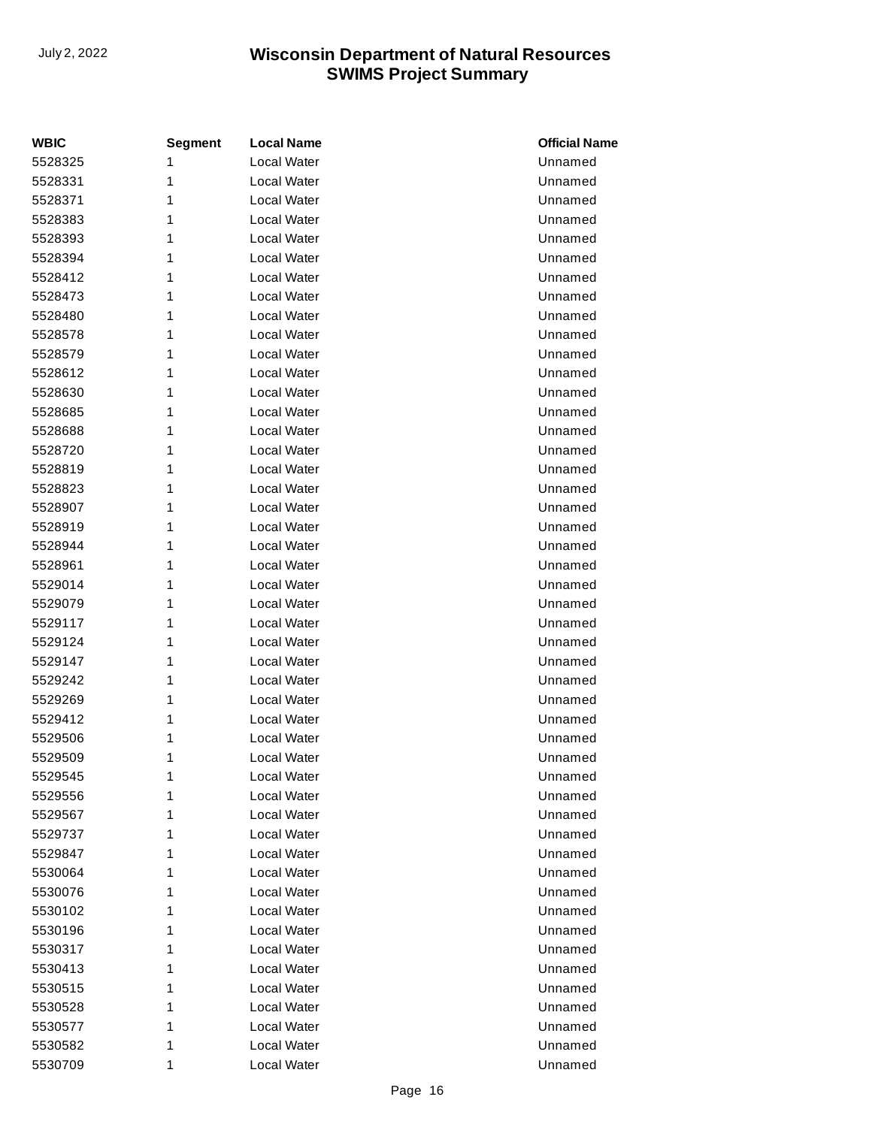| <b>WBIC</b> | <b>Segment</b> | <b>Local Name</b>  | <b>Official Name</b> |
|-------------|----------------|--------------------|----------------------|
| 5528325     | 1              | <b>Local Water</b> | Unnamed              |
| 5528331     | 1              | Local Water        | Unnamed              |
| 5528371     | 1              | Local Water        | Unnamed              |
| 5528383     | 1              | Local Water        | Unnamed              |
| 5528393     | 1              | Local Water        | Unnamed              |
| 5528394     | 1              | Local Water        | Unnamed              |
| 5528412     | 1              | Local Water        | Unnamed              |
| 5528473     | 1              | Local Water        | Unnamed              |
| 5528480     | 1              | Local Water        | Unnamed              |
| 5528578     | 1              | Local Water        | Unnamed              |
| 5528579     | 1              | Local Water        | Unnamed              |
| 5528612     | 1              | Local Water        | Unnamed              |
| 5528630     | 1              | Local Water        | Unnamed              |
| 5528685     | 1              | <b>Local Water</b> | Unnamed              |
| 5528688     | 1              | Local Water        | Unnamed              |
| 5528720     | 1              | <b>Local Water</b> | Unnamed              |
| 5528819     | 1              | Local Water        | Unnamed              |
| 5528823     | 1              | Local Water        | Unnamed              |
| 5528907     | 1              | Local Water        | Unnamed              |
| 5528919     | 1              | Local Water        | Unnamed              |
| 5528944     | 1              | Local Water        | Unnamed              |
| 5528961     | 1              | Local Water        | Unnamed              |
| 5529014     | 1              | Local Water        | Unnamed              |
| 5529079     | 1              | <b>Local Water</b> | Unnamed              |
| 5529117     | 1              | Local Water        | Unnamed              |
| 5529124     | 1              | Local Water        | Unnamed              |
| 5529147     | 1              | Local Water        | Unnamed              |
| 5529242     | 1              | Local Water        | Unnamed              |
| 5529269     | 1              | Local Water        | Unnamed              |
| 5529412     | 1              | Local Water        | Unnamed              |
| 5529506     | 1              | Local Water        | Unnamed              |
| 5529509     | 1              | Local Water        | Unnamed              |
| 5529545     | 1              | Local Water        | Unnamed              |
| 5529556     | 1              | Local Water        | Unnamed              |
| 5529567     | 1              | Local Water        | Unnamed              |
| 5529737     | 1              | Local Water        | Unnamed              |
| 5529847     | 1              | Local Water        | Unnamed              |
| 5530064     | 1              | Local Water        | Unnamed              |
| 5530076     | 1              | Local Water        | Unnamed              |
| 5530102     | 1              | Local Water        | Unnamed              |
| 5530196     | 1              | Local Water        | Unnamed              |
| 5530317     | 1              | Local Water        | Unnamed              |
| 5530413     | 1              | Local Water        | Unnamed              |
| 5530515     | 1              | Local Water        | Unnamed              |
| 5530528     | 1              | Local Water        | Unnamed              |
| 5530577     | 1              | Local Water        | Unnamed              |
| 5530582     | 1              | Local Water        | Unnamed              |
| 5530709     | 1              | Local Water        | Unnamed              |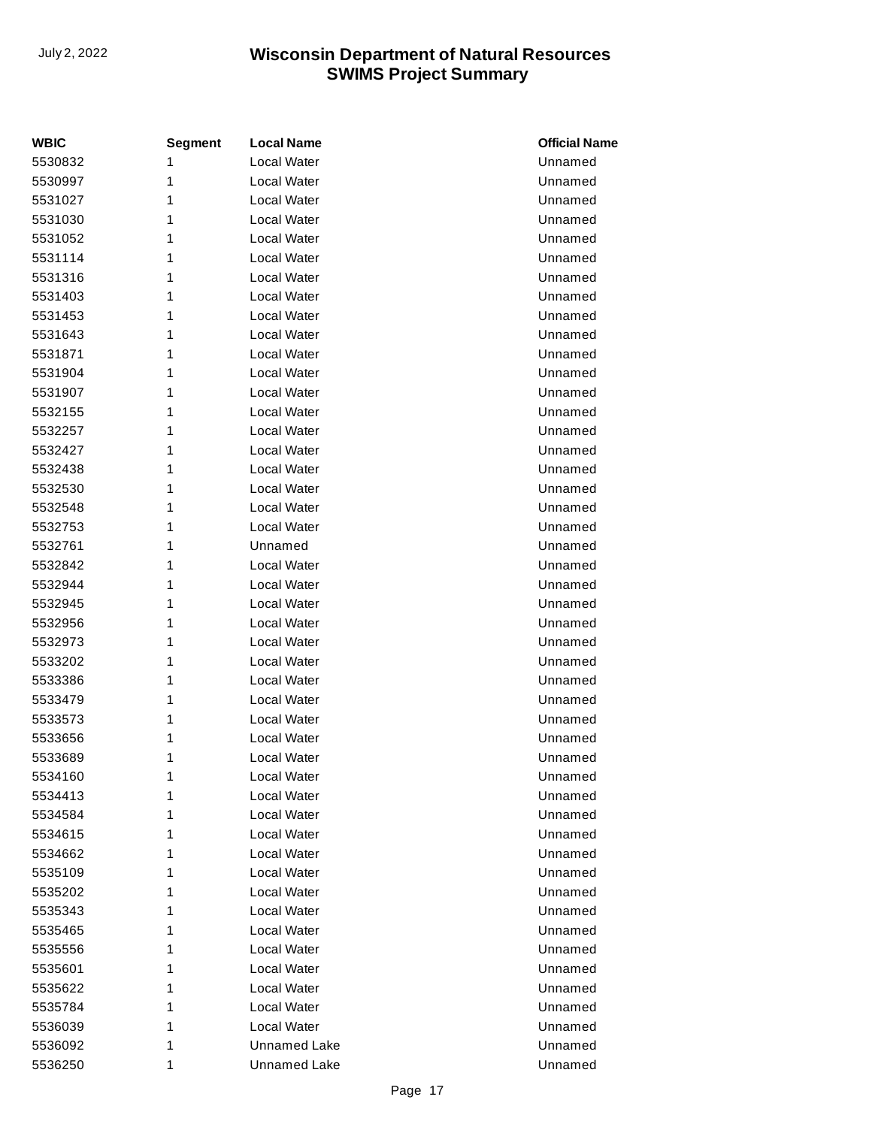| <b>WBIC</b> | <b>Segment</b> | <b>Local Name</b>   | <b>Official Name</b> |
|-------------|----------------|---------------------|----------------------|
| 5530832     | 1              | Local Water         | Unnamed              |
| 5530997     | 1              | Local Water         | Unnamed              |
| 5531027     | 1              | Local Water         | Unnamed              |
| 5531030     | 1              | Local Water         | Unnamed              |
| 5531052     | 1              | Local Water         | Unnamed              |
| 5531114     | 1              | Local Water         | Unnamed              |
| 5531316     | 1              | Local Water         | Unnamed              |
| 5531403     | 1              | Local Water         | Unnamed              |
| 5531453     | 1              | Local Water         | Unnamed              |
| 5531643     | 1              | Local Water         | Unnamed              |
| 5531871     | 1              | Local Water         | Unnamed              |
| 5531904     | 1              | Local Water         | Unnamed              |
| 5531907     | 1              | Local Water         | Unnamed              |
| 5532155     | 1              | Local Water         | Unnamed              |
| 5532257     | 1              | Local Water         | Unnamed              |
| 5532427     | 1              | Local Water         | Unnamed              |
| 5532438     | 1              | Local Water         | Unnamed              |
| 5532530     | 1              | Local Water         | Unnamed              |
| 5532548     | 1              | Local Water         | Unnamed              |
| 5532753     | 1              | Local Water         | Unnamed              |
| 5532761     | 1              | Unnamed             | Unnamed              |
| 5532842     | 1              | Local Water         | Unnamed              |
| 5532944     | 1              | Local Water         | Unnamed              |
| 5532945     | 1              | Local Water         | Unnamed              |
| 5532956     | 1              | Local Water         | Unnamed              |
| 5532973     | 1              | Local Water         | Unnamed              |
| 5533202     | 1              | Local Water         | Unnamed              |
| 5533386     | 1              | Local Water         | Unnamed              |
| 5533479     | 1              | Local Water         | Unnamed              |
| 5533573     | 1              | Local Water         | Unnamed              |
| 5533656     | 1              | Local Water         | Unnamed              |
| 5533689     | 1              | Local Water         | Unnamed              |
| 5534160     | 1              | Local Water         | Unnamed              |
| 5534413     | 1              | Local Water         | Unnamed              |
| 5534584     | 1              | Local Water         | Unnamed              |
| 5534615     | 1              | Local Water         | Unnamed              |
| 5534662     | 1              | Local Water         | Unnamed              |
| 5535109     | 1              | Local Water         | Unnamed              |
| 5535202     | 1              | Local Water         | Unnamed              |
| 5535343     | 1              | Local Water         | Unnamed              |
| 5535465     | 1              | Local Water         | Unnamed              |
| 5535556     | 1              | Local Water         | Unnamed              |
| 5535601     | 1              | Local Water         | Unnamed              |
| 5535622     | 1              | Local Water         | Unnamed              |
| 5535784     | 1              | Local Water         | Unnamed              |
| 5536039     | 1              | Local Water         | Unnamed              |
| 5536092     | 1              | <b>Unnamed Lake</b> | Unnamed              |
| 5536250     | 1              | <b>Unnamed Lake</b> | Unnamed              |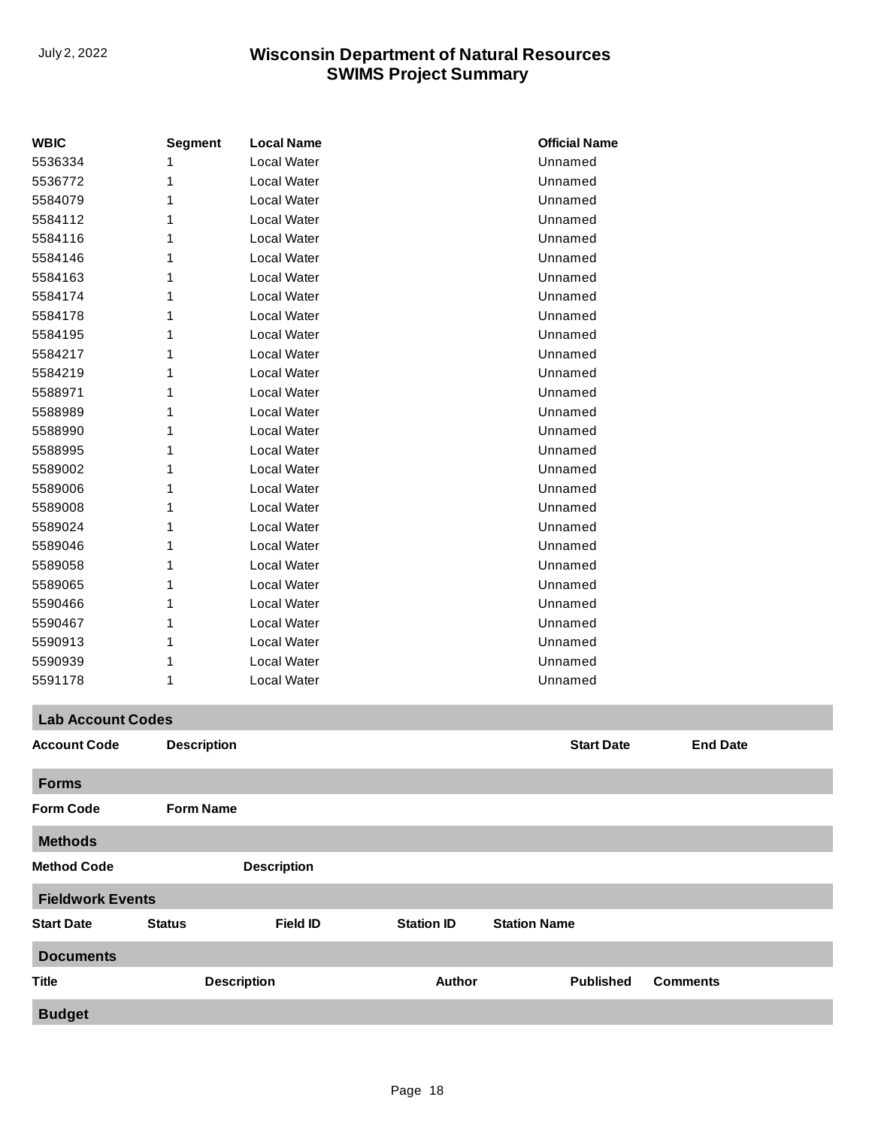| <b>WBIC</b>              | <b>Segment</b>     | <b>Local Name</b>  |                   | <b>Official Name</b> |                 |
|--------------------------|--------------------|--------------------|-------------------|----------------------|-----------------|
| 5536334                  |                    | Local Water        |                   | Unnamed              |                 |
| 5536772                  | 1                  | Local Water        |                   | Unnamed              |                 |
| 5584079                  | 1                  | Local Water        |                   | Unnamed              |                 |
| 5584112                  |                    | Local Water        |                   | Unnamed              |                 |
| 5584116                  | 1                  | Local Water        |                   | Unnamed              |                 |
| 5584146                  | 1                  | Local Water        |                   | Unnamed              |                 |
| 5584163                  | 1                  | Local Water        |                   | Unnamed              |                 |
| 5584174                  |                    | Local Water        |                   | Unnamed              |                 |
| 5584178                  | 1                  | Local Water        |                   | Unnamed              |                 |
| 5584195                  |                    | Local Water        |                   | Unnamed              |                 |
| 5584217                  | 1                  | Local Water        |                   | Unnamed              |                 |
| 5584219                  |                    | Local Water        |                   | Unnamed              |                 |
| 5588971                  |                    | Local Water        |                   | Unnamed              |                 |
| 5588989                  | 1                  | Local Water        |                   | Unnamed              |                 |
| 5588990                  | 1                  | Local Water        |                   | Unnamed              |                 |
| 5588995                  |                    | Local Water        |                   | Unnamed              |                 |
| 5589002                  |                    | Local Water        |                   | Unnamed              |                 |
| 5589006                  | 1                  | Local Water        |                   | Unnamed              |                 |
| 5589008                  | 1                  | Local Water        |                   | Unnamed              |                 |
| 5589024                  |                    | Local Water        |                   | Unnamed              |                 |
| 5589046                  |                    | Local Water        |                   | Unnamed              |                 |
| 5589058                  | 1                  | Local Water        |                   | Unnamed              |                 |
| 5589065                  | 1                  | Local Water        |                   | Unnamed              |                 |
| 5590466                  |                    | Local Water        |                   | Unnamed              |                 |
| 5590467                  |                    | Local Water        |                   | Unnamed              |                 |
| 5590913                  |                    | Local Water        |                   | Unnamed              |                 |
| 5590939                  | 1                  | Local Water        |                   | Unnamed              |                 |
| 5591178                  | 1                  | Local Water        |                   | Unnamed              |                 |
| <b>Lab Account Codes</b> |                    |                    |                   |                      |                 |
| <b>Account Code</b>      | <b>Description</b> |                    |                   | <b>Start Date</b>    | <b>End Date</b> |
| <b>Forms</b>             |                    |                    |                   |                      |                 |
| <b>Form Code</b>         | <b>Form Name</b>   |                    |                   |                      |                 |
| <b>Methods</b>           |                    |                    |                   |                      |                 |
| <b>Method Code</b>       |                    | <b>Description</b> |                   |                      |                 |
| <b>Fieldwork Events</b>  |                    |                    |                   |                      |                 |
| <b>Start Date</b>        | <b>Status</b>      | <b>Field ID</b>    | <b>Station ID</b> | <b>Station Name</b>  |                 |
| <b>Documents</b>         |                    |                    |                   |                      |                 |
| <b>Title</b>             |                    | <b>Description</b> | <b>Author</b>     | <b>Published</b>     | <b>Comments</b> |
| <b>Budget</b>            |                    |                    |                   |                      |                 |